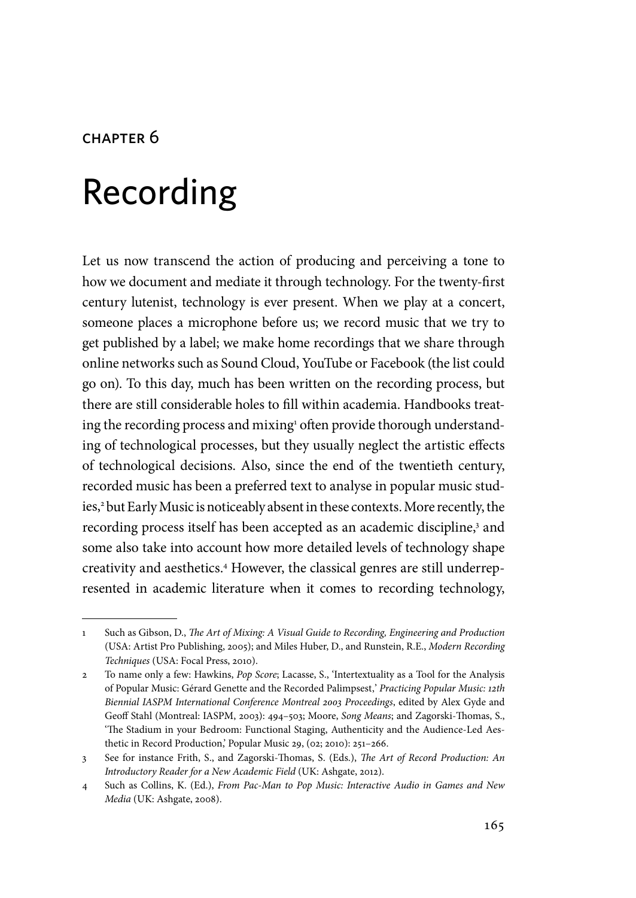#### chapter 6

# Recording

Let us now transcend the action of producing and perceiving a tone to how we document and mediate it through technology. For the twenty-first century lutenist, technology is ever present. When we play at a concert, someone places a microphone before us; we record music that we try to get published by a label; we make home recordings that we share through online networks such as Sound Cloud, YouTube or Facebook (the list could go on). To this day, much has been written on the recording process, but there are still considerable holes to fill within academia. Handbooks treating the recording process and mixing<sup>1</sup> often provide thorough understanding of technological processes, but they usually neglect the artistic effects of technological decisions. Also, since the end of the twentieth century, recorded music has been a preferred text to analyse in popular music studies,2 but Early Music is noticeably absent in these contexts. More recently, the recording process itself has been accepted as an academic discipline,<sup>3</sup> and some also take into account how more detailed levels of technology shape creativity and aesthetics.4 However, the classical genres are still underrepresented in academic literature when it comes to recording technology,

<sup>1</sup> Such as Gibson, D., *The Art of Mixing: A Visual Guide to Recording, Engineering and Production* (USA: Artist Pro Publishing, 2005); and Miles Huber, D., and Runstein, R.E., *Modern Recording Techniques* (USA: Focal Press, 2010).

<sup>2</sup> To name only a few: Hawkins, *Pop Score*; Lacasse, S., 'Intertextuality as a Tool for the Analysis of Popular Music: Gérard Genette and the Recorded Palimpsest'' *Practicing Popular Music: 12th Biennial IASPM International Conference Montreal 2003 Proceedings*, edited by Alex Gyde and Geoff Stahl (Montreal: IASPM, 2003): 494–503; Moore, *Song Means*; and Zagorski-Thomas, S., 'The Stadium in your Bedroom: Functional Staging, Authenticity and the Audience-Led Aesthetic in Record Production,' Popular Music 29, (02; 2010): 251–266.

<sup>3</sup> See for instance Frith, S., and Zagorski-Thomas, S. (Eds.), *The Art of Record Production: An Introductory Reader for a New Academic Field* (UK: Ashgate, 2012).

<sup>4</sup> Such as Collins, K. (Ed.), *From Pac-Man to Pop Music: Interactive Audio in Games and New Media* (UK: Ashgate, 2008).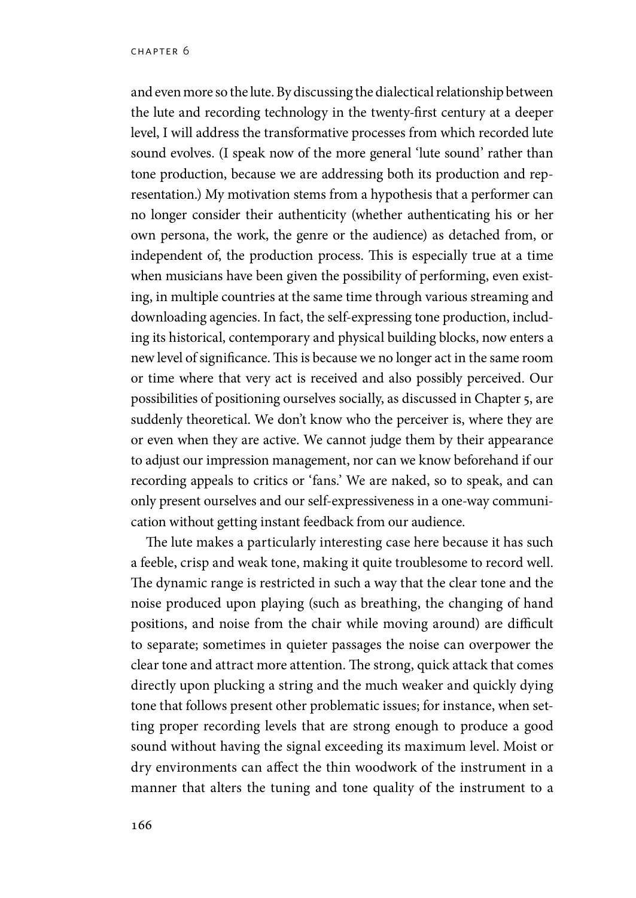and even more so the lute. By discussing the dialectical relationship between the lute and recording technology in the twenty-first century at a deeper level, I will address the transformative processes from which recorded lute sound evolves. (I speak now of the more general 'lute sound' rather than tone production, because we are addressing both its production and representation.) My motivation stems from a hypothesis that a performer can no longer consider their authenticity (whether authenticating his or her own persona, the work, the genre or the audience) as detached from, or independent of, the production process. This is especially true at a time when musicians have been given the possibility of performing, even existing, in multiple countries at the same time through various streaming and downloading agencies. In fact, the self-expressing tone production, including its historical, contemporary and physical building blocks, now enters a new level of significance. This is because we no longer act in the same room or time where that very act is received and also possibly perceived. Our possibilities of positioning ourselves socially, as discussed in Chapter 5, are suddenly theoretical. We don't know who the perceiver is, where they are or even when they are active. We cannot judge them by their appearance to adjust our impression management, nor can we know beforehand if our recording appeals to critics or 'fans.' We are naked, so to speak, and can only present ourselves and our self-expressiveness in a one-way communication without getting instant feedback from our audience.

The lute makes a particularly interesting case here because it has such a feeble, crisp and weak tone, making it quite troublesome to record well. The dynamic range is restricted in such a way that the clear tone and the noise produced upon playing (such as breathing, the changing of hand positions, and noise from the chair while moving around) are difficult to separate; sometimes in quieter passages the noise can overpower the clear tone and attract more attention. The strong, quick attack that comes directly upon plucking a string and the much weaker and quickly dying tone that follows present other problematic issues; for instance, when setting proper recording levels that are strong enough to produce a good sound without having the signal exceeding its maximum level. Moist or dry environments can affect the thin woodwork of the instrument in a manner that alters the tuning and tone quality of the instrument to a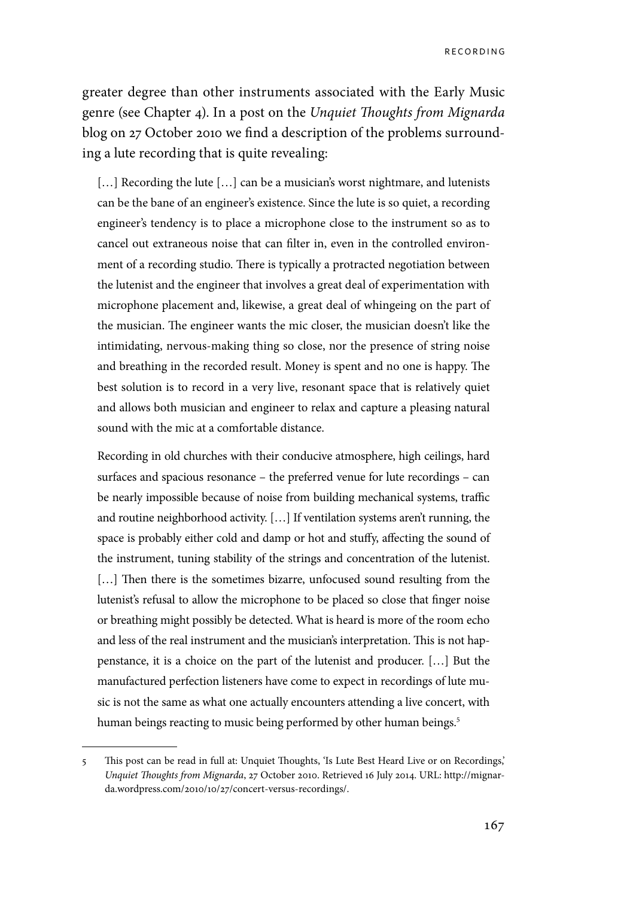greater degree than other instruments associated with the Early Music genre (see Chapter 4). In a post on the *Unquiet Thoughts from Mignarda* blog on 27 October 2010 we find a description of the problems surrounding a lute recording that is quite revealing:

[...] Recording the lute [...] can be a musician's worst nightmare, and lutenists can be the bane of an engineer's existence. Since the lute is so quiet, a recording engineer's tendency is to place a microphone close to the instrument so as to cancel out extraneous noise that can filter in, even in the controlled environment of a recording studio. There is typically a protracted negotiation between the lutenist and the engineer that involves a great deal of experimentation with microphone placement and, likewise, a great deal of whingeing on the part of the musician. The engineer wants the mic closer, the musician doesn't like the intimidating, nervous-making thing so close, nor the presence of string noise and breathing in the recorded result. Money is spent and no one is happy. The best solution is to record in a very live, resonant space that is relatively quiet and allows both musician and engineer to relax and capture a pleasing natural sound with the mic at a comfortable distance.

Recording in old churches with their conducive atmosphere, high ceilings, hard surfaces and spacious resonance – the preferred venue for lute recordings – can be nearly impossible because of noise from building mechanical systems, traffic and routine neighborhood activity. […] If ventilation systems aren't running, the space is probably either cold and damp or hot and stuffy, affecting the sound of the instrument, tuning stability of the strings and concentration of the lutenist. [...] Then there is the sometimes bizarre, unfocused sound resulting from the lutenist's refusal to allow the microphone to be placed so close that finger noise or breathing might possibly be detected. What is heard is more of the room echo and less of the real instrument and the musician's interpretation. This is not happenstance, it is a choice on the part of the lutenist and producer. […] But the manufactured perfection listeners have come to expect in recordings of lute music is not the same as what one actually encounters attending a live concert, with human beings reacting to music being performed by other human beings.<sup>5</sup>

<sup>5</sup> This post can be read in full at: Unquiet Thoughts, 'Is Lute Best Heard Live or on Recordings,' *Unquiet Thoughts from Mignarda*, 27 October 2010. Retrieved 16 July 2014. URL: http://mignarda.wordpress.com/2010/10/27/concert-versus-recordings/.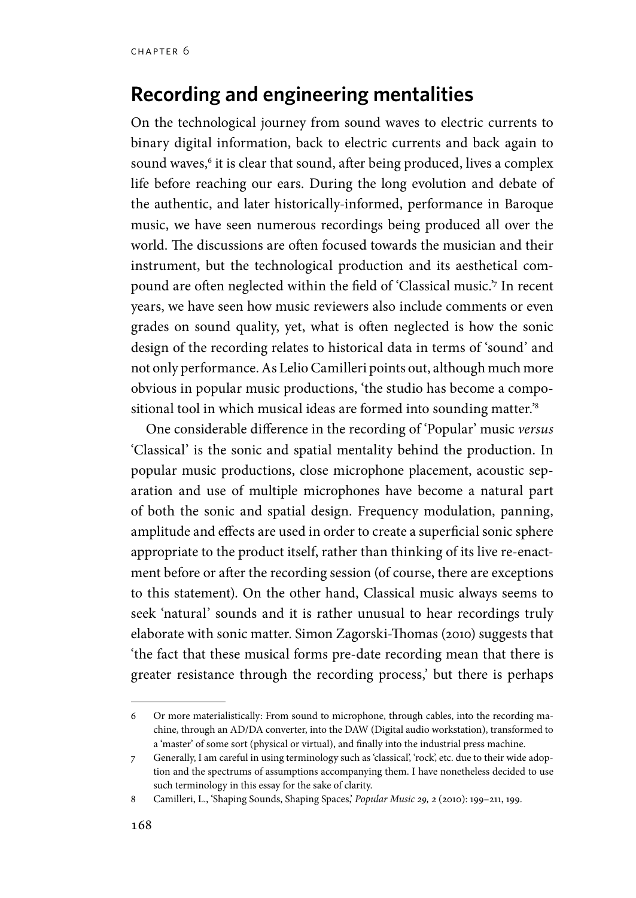# **Recording and engineering mentalities**

On the technological journey from sound waves to electric currents to binary digital information, back to electric currents and back again to sound waves, $^{\rm 6}$  it is clear that sound, after being produced, lives a complex life before reaching our ears. During the long evolution and debate of the authentic, and later historically-informed, performance in Baroque music, we have seen numerous recordings being produced all over the world. The discussions are often focused towards the musician and their instrument, but the technological production and its aesthetical compound are often neglected within the field of 'Classical music.'7 In recent years, we have seen how music reviewers also include comments or even grades on sound quality, yet, what is often neglected is how the sonic design of the recording relates to historical data in terms of 'sound' and not only performance. As Lelio Camilleri points out, although much more obvious in popular music productions, 'the studio has become a compositional tool in which musical ideas are formed into sounding matter.'8

One considerable difference in the recording of 'Popular' music *versus* 'Classical' is the sonic and spatial mentality behind the production. In popular music productions, close microphone placement, acoustic separation and use of multiple microphones have become a natural part of both the sonic and spatial design. Frequency modulation, panning, amplitude and effects are used in order to create a superficial sonic sphere appropriate to the product itself, rather than thinking of its live re-enactment before or after the recording session (of course, there are exceptions to this statement). On the other hand, Classical music always seems to seek 'natural' sounds and it is rather unusual to hear recordings truly elaborate with sonic matter. Simon Zagorski-Thomas (2010) suggests that 'the fact that these musical forms pre-date recording mean that there is greater resistance through the recording process,' but there is perhaps

<sup>6</sup> Or more materialistically: From sound to microphone, through cables, into the recording machine, through an AD/DA converter, into the DAW (Digital audio workstation), transformed to a 'master' of some sort (physical or virtual), and finally into the industrial press machine.

<sup>7</sup> Generally, I am careful in using terminology such as 'classical', 'rock', etc. due to their wide adoption and the spectrums of assumptions accompanying them. I have nonetheless decided to use such terminology in this essay for the sake of clarity.

<sup>8</sup> Camilleri, L., 'Shaping Sounds, Shaping Spaces,' *Popular Music 29, 2* (2010): 199–211, 199.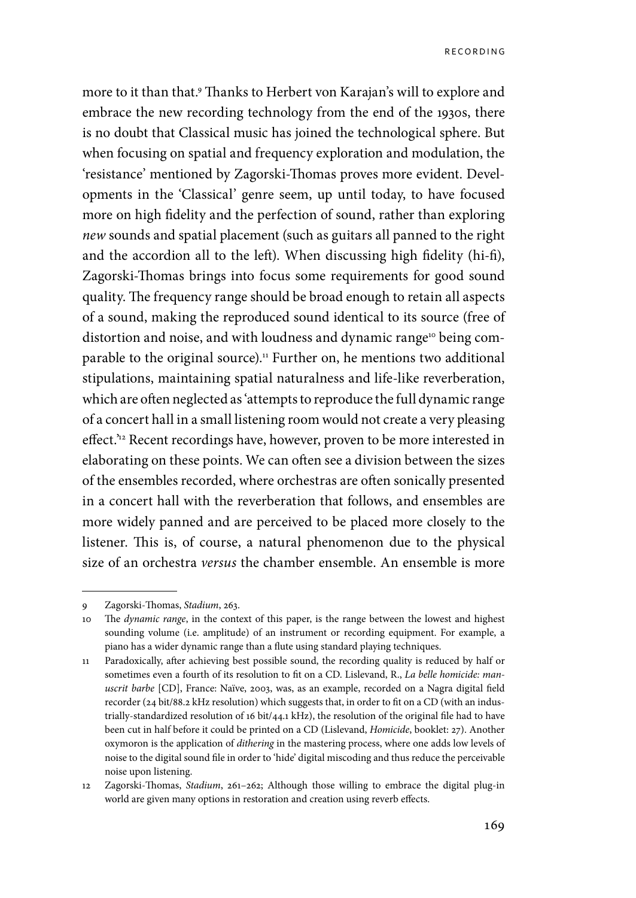more to it than that.<sup>9</sup> Thanks to Herbert von Karajan's will to explore and embrace the new recording technology from the end of the 1930s, there is no doubt that Classical music has joined the technological sphere. But when focusing on spatial and frequency exploration and modulation, the 'resistance' mentioned by Zagorski-Thomas proves more evident. Developments in the 'Classical' genre seem, up until today, to have focused more on high fidelity and the perfection of sound, rather than exploring *new* sounds and spatial placement (such as guitars all panned to the right and the accordion all to the left). When discussing high fidelity (hi-fi), Zagorski-Thomas brings into focus some requirements for good sound quality. The frequency range should be broad enough to retain all aspects of a sound, making the reproduced sound identical to its source (free of distortion and noise, and with loudness and dynamic range<sup>10</sup> being comparable to the original source).<sup>11</sup> Further on, he mentions two additional stipulations, maintaining spatial naturalness and life-like reverberation, which are often neglected as 'attempts to reproduce the full dynamic range of a concert hall in a small listening room would not create a very pleasing effect.<sup>'12</sup> Recent recordings have, however, proven to be more interested in elaborating on these points. We can often see a division between the sizes of the ensembles recorded, where orchestras are often sonically presented in a concert hall with the reverberation that follows, and ensembles are more widely panned and are perceived to be placed more closely to the listener. This is, of course, a natural phenomenon due to the physical size of an orchestra *versus* the chamber ensemble. An ensemble is more

<sup>9</sup> Zagorski-Thomas, *Stadium*, 263.

<sup>10</sup> The *dynamic range*, in the context of this paper, is the range between the lowest and highest sounding volume (i.e. amplitude) of an instrument or recording equipment. For example, a piano has a wider dynamic range than a flute using standard playing techniques.

<sup>11</sup> Paradoxically, after achieving best possible sound, the recording quality is reduced by half or sometimes even a fourth of its resolution to fit on a CD. Lislevand, R., *La belle homicide: manuscrit barbe* [CD], France: Naïve, 2003, was, as an example, recorded on a Nagra digital field recorder (24 bit/88.2 kHz resolution) which suggests that, in order to fit on a CD (with an industrially-standardized resolution of 16 bit/44.1 kHz), the resolution of the original file had to have been cut in half before it could be printed on a CD (Lislevand, *Homicide*, booklet: 27). Another oxymoron is the application of *dithering* in the mastering process, where one adds low levels of noise to the digital sound file in order to 'hide' digital miscoding and thus reduce the perceivable noise upon listening.

<sup>12</sup> Zagorski-Thomas, *Stadium*, 261–262; Although those willing to embrace the digital plug-in world are given many options in restoration and creation using reverb effects.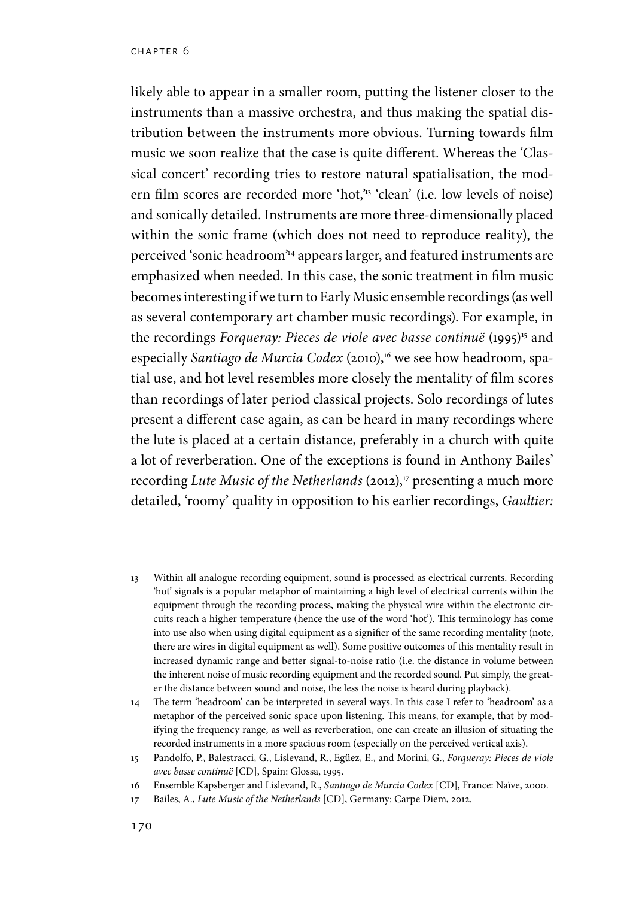likely able to appear in a smaller room, putting the listener closer to the instruments than a massive orchestra, and thus making the spatial distribution between the instruments more obvious. Turning towards film music we soon realize that the case is quite different. Whereas the 'Classical concert' recording tries to restore natural spatialisation, the modern film scores are recorded more 'hot,'13 'clean' (i.e. low levels of noise) and sonically detailed. Instruments are more three-dimensionally placed within the sonic frame (which does not need to reproduce reality), the perceived 'sonic headroom'14 appears larger, and featured instruments are emphasized when needed. In this case, the sonic treatment in film music becomes interesting if we turn to Early Music ensemble recordings (as well as several contemporary art chamber music recordings). For example, in the recordings *Forqueray: Pieces de viole avec basse continuë* (1995)<sup>15</sup> and especially *Santiago de Murcia Codex* (2010),<sup>16</sup> we see how headroom, spatial use, and hot level resembles more closely the mentality of film scores than recordings of later period classical projects. Solo recordings of lutes present a different case again, as can be heard in many recordings where the lute is placed at a certain distance, preferably in a church with quite a lot of reverberation. One of the exceptions is found in Anthony Bailes' recording *Lute Music of the Netherlands* (2012),<sup>17</sup> presenting a much more detailed, 'roomy' quality in opposition to his earlier recordings, *Gaultier:* 

<sup>13</sup> Within all analogue recording equipment, sound is processed as electrical currents. Recording 'hot' signals is a popular metaphor of maintaining a high level of electrical currents within the equipment through the recording process, making the physical wire within the electronic circuits reach a higher temperature (hence the use of the word 'hot'). This terminology has come into use also when using digital equipment as a signifier of the same recording mentality (note, there are wires in digital equipment as well). Some positive outcomes of this mentality result in increased dynamic range and better signal-to-noise ratio (i.e. the distance in volume between the inherent noise of music recording equipment and the recorded sound. Put simply, the greater the distance between sound and noise, the less the noise is heard during playback).

<sup>14</sup> The term 'headroom' can be interpreted in several ways. In this case I refer to 'headroom' as a metaphor of the perceived sonic space upon listening. This means, for example, that by modifying the frequency range, as well as reverberation, one can create an illusion of situating the recorded instruments in a more spacious room (especially on the perceived vertical axis).

<sup>15</sup> Pandolfo, P., Balestracci, G., Lislevand, R., Egüez, E., and Morini, G., *Forqueray: Pieces de viole avec basse continuë* [CD], Spain: Glossa, 1995.

<sup>16</sup> Ensemble Kapsberger and Lislevand, R., *Santiago de Murcia Codex* [CD], France: Naïve, 2000.

<sup>17</sup> Bailes, A., *Lute Music of the Netherlands* [CD], Germany: Carpe Diem, 2012.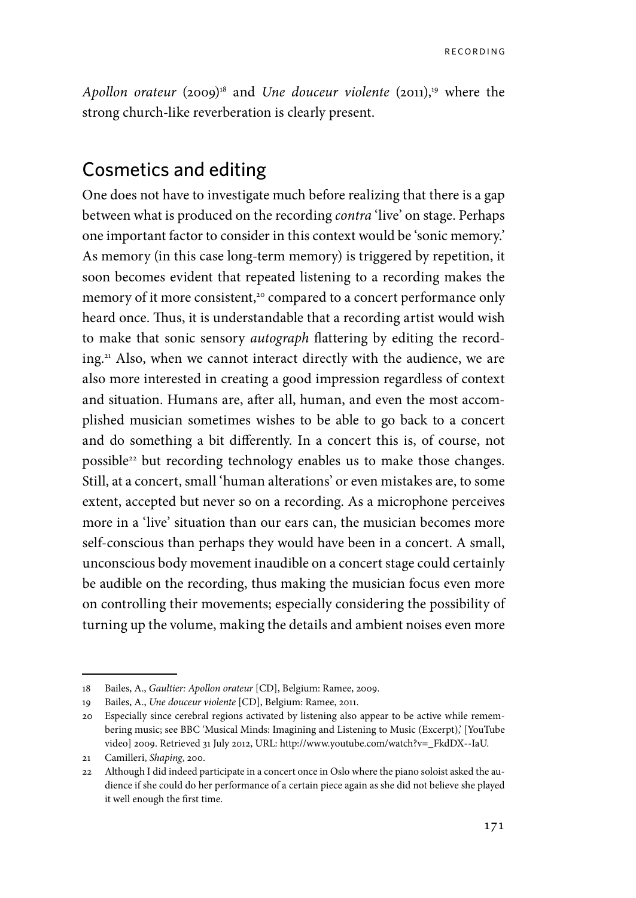*Apollon orateur* (2009)<sup>18</sup> and *Une douceur violente* (2011),<sup>19</sup> where the strong church-like reverberation is clearly present.

## Cosmetics and editing

One does not have to investigate much before realizing that there is a gap between what is produced on the recording *contra* 'live' on stage. Perhaps one important factor to consider in this context would be 'sonic memory.' As memory (in this case long-term memory) is triggered by repetition, it soon becomes evident that repeated listening to a recording makes the memory of it more consistent,<sup>20</sup> compared to a concert performance only heard once. Thus, it is understandable that a recording artist would wish to make that sonic sensory *autograph* flattering by editing the recording.<sup>21</sup> Also, when we cannot interact directly with the audience, we are also more interested in creating a good impression regardless of context and situation. Humans are, after all, human, and even the most accomplished musician sometimes wishes to be able to go back to a concert and do something a bit differently. In a concert this is, of course, not possible<sup>22</sup> but recording technology enables us to make those changes. Still, at a concert, small 'human alterations' or even mistakes are, to some extent, accepted but never so on a recording. As a microphone perceives more in a 'live' situation than our ears can, the musician becomes more self-conscious than perhaps they would have been in a concert. A small, unconscious body movement inaudible on a concert stage could certainly be audible on the recording, thus making the musician focus even more on controlling their movements; especially considering the possibility of turning up the volume, making the details and ambient noises even more

<sup>18</sup> Bailes, A., *Gaultier: Apollon orateur* [CD], Belgium: Ramee, 2009.

<sup>19</sup> Bailes, A., *Une douceur violente* [CD], Belgium: Ramee, 2011.

<sup>20</sup> Especially since cerebral regions activated by listening also appear to be active while remembering music; see BBC 'Musical Minds: Imagining and Listening to Music (Excerpt),' [YouTube video] 2009. Retrieved 31 July 2012, URL: http://www.youtube.com/watch?v=\_FkdDX--IaU.

<sup>21</sup> Camilleri, *Shaping*, 200.

<sup>22</sup> Although I did indeed participate in a concert once in Oslo where the piano soloist asked the audience if she could do her performance of a certain piece again as she did not believe she played it well enough the first time.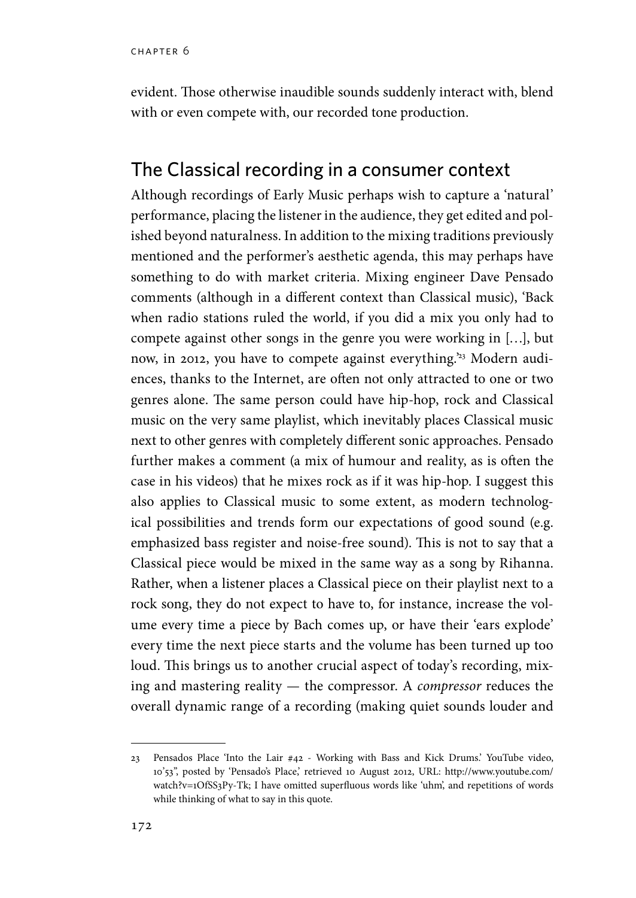evident. Those otherwise inaudible sounds suddenly interact with, blend with or even compete with, our recorded tone production.

## The Classical recording in a consumer context

Although recordings of Early Music perhaps wish to capture a 'natural' performance, placing the listener in the audience, they get edited and polished beyond naturalness. In addition to the mixing traditions previously mentioned and the performer's aesthetic agenda, this may perhaps have something to do with market criteria. Mixing engineer Dave Pensado comments (although in a different context than Classical music), 'Back when radio stations ruled the world, if you did a mix you only had to compete against other songs in the genre you were working in […], but now, in 2012, you have to compete against everything.<sup>23</sup> Modern audiences, thanks to the Internet, are often not only attracted to one or two genres alone. The same person could have hip-hop, rock and Classical music on the very same playlist, which inevitably places Classical music next to other genres with completely different sonic approaches. Pensado further makes a comment (a mix of humour and reality, as is often the case in his videos) that he mixes rock as if it was hip-hop. I suggest this also applies to Classical music to some extent, as modern technological possibilities and trends form our expectations of good sound (e.g. emphasized bass register and noise-free sound). This is not to say that a Classical piece would be mixed in the same way as a song by Rihanna. Rather, when a listener places a Classical piece on their playlist next to a rock song, they do not expect to have to, for instance, increase the volume every time a piece by Bach comes up, or have their 'ears explode' every time the next piece starts and the volume has been turned up too loud. This brings us to another crucial aspect of today's recording, mixing and mastering reality — the compressor. A *compressor* reduces the overall dynamic range of a recording (making quiet sounds louder and

<sup>23</sup> Pensados Place 'Into the Lair #42 - Working with Bass and Kick Drums.' YouTube video, 10'53'', posted by 'Pensado's Place,' retrieved 10 August 2012, URL: http://www.youtube.com/ watch?v=1OfSS3Py-Tk; I have omitted superfluous words like 'uhm', and repetitions of words while thinking of what to say in this quote.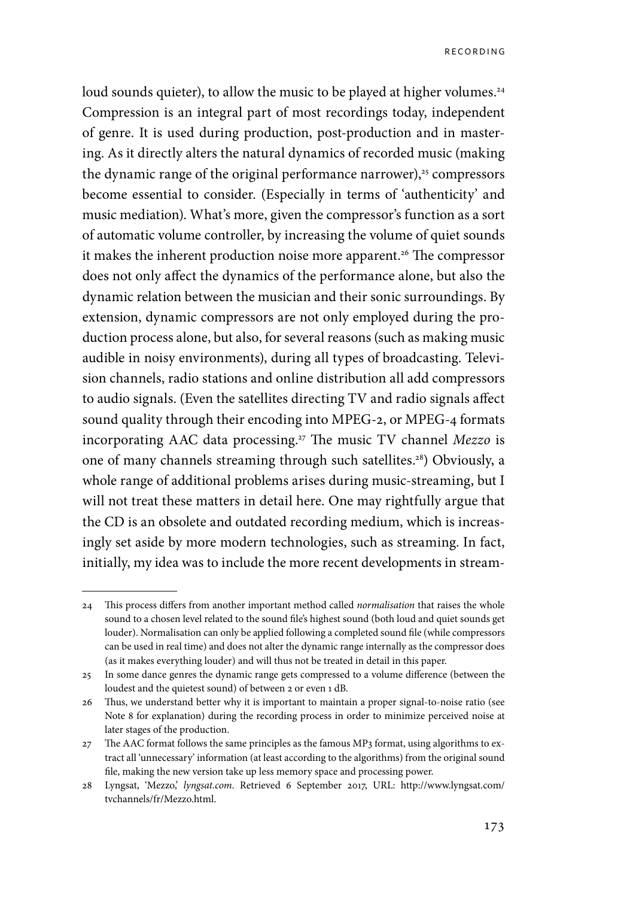loud sounds quieter), to allow the music to be played at higher volumes.<sup>24</sup> Compression is an integral part of most recordings today, independent of genre. It is used during production, post-production and in mastering. As it directly alters the natural dynamics of recorded music (making the dynamic range of the original performance narrower), $25$  compressors become essential to consider. (Especially in terms of 'authenticity' and music mediation). What's more, given the compressor's function as a sort of automatic volume controller, by increasing the volume of quiet sounds it makes the inherent production noise more apparent.<sup>26</sup> The compressor does not only affect the dynamics of the performance alone, but also the dynamic relation between the musician and their sonic surroundings. By extension, dynamic compressors are not only employed during the production process alone, but also, for several reasons (such as making music audible in noisy environments), during all types of broadcasting. Television channels, radio stations and online distribution all add compressors to audio signals. (Even the satellites directing TV and radio signals affect sound quality through their encoding into MPEG-2, or MPEG-4 formats incorporating AAC data processing.27 The music TV channel *Mezzo* is one of many channels streaming through such satellites.28) Obviously, a whole range of additional problems arises during music-streaming, but I will not treat these matters in detail here. One may rightfully argue that the CD is an obsolete and outdated recording medium, which is increasingly set aside by more modern technologies, such as streaming. In fact, initially, my idea was to include the more recent developments in stream-

<sup>24</sup> This process differs from another important method called *normalisation* that raises the whole sound to a chosen level related to the sound file's highest sound (both loud and quiet sounds get louder). Normalisation can only be applied following a completed sound file (while compressors can be used in real time) and does not alter the dynamic range internally as the compressor does (as it makes everything louder) and will thus not be treated in detail in this paper.

<sup>25</sup> In some dance genres the dynamic range gets compressed to a volume difference (between the loudest and the quietest sound) of between 2 or even 1 dB.

<sup>26</sup> Thus, we understand better why it is important to maintain a proper signal-to-noise ratio (see Note 8 for explanation) during the recording process in order to minimize perceived noise at later stages of the production.

<sup>27</sup> The AAC format follows the same principles as the famous MP3 format, using algorithms to extract all 'unnecessary' information (at least according to the algorithms) from the original sound file, making the new version take up less memory space and processing power.

<sup>28</sup> Lyngsat, 'Mezzo,' *lyngsat.com*. Retrieved 6 September 2017, URL: http://www.lyngsat.com/ tvchannels/fr/Mezzo.html.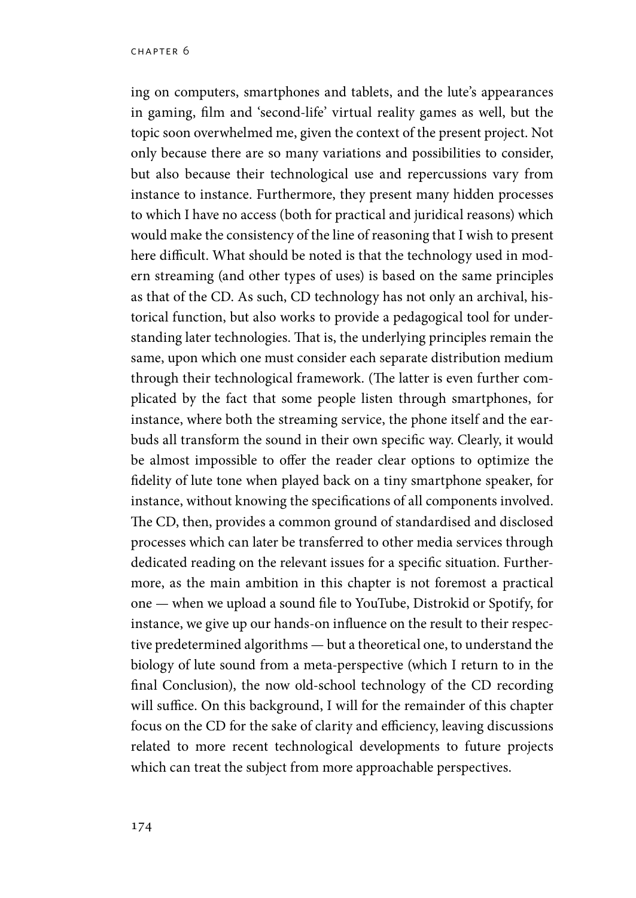ing on computers, smartphones and tablets, and the lute's appearances in gaming, film and 'second-life' virtual reality games as well, but the topic soon overwhelmed me, given the context of the present project. Not only because there are so many variations and possibilities to consider, but also because their technological use and repercussions vary from instance to instance. Furthermore, they present many hidden processes to which I have no access (both for practical and juridical reasons) which would make the consistency of the line of reasoning that I wish to present here difficult. What should be noted is that the technology used in modern streaming (and other types of uses) is based on the same principles as that of the CD. As such, CD technology has not only an archival, historical function, but also works to provide a pedagogical tool for understanding later technologies. That is, the underlying principles remain the same, upon which one must consider each separate distribution medium through their technological framework. (The latter is even further complicated by the fact that some people listen through smartphones, for instance, where both the streaming service, the phone itself and the earbuds all transform the sound in their own specific way. Clearly, it would be almost impossible to offer the reader clear options to optimize the fidelity of lute tone when played back on a tiny smartphone speaker, for instance, without knowing the specifications of all components involved. The CD, then, provides a common ground of standardised and disclosed processes which can later be transferred to other media services through dedicated reading on the relevant issues for a specific situation. Furthermore, as the main ambition in this chapter is not foremost a practical one — when we upload a sound file to YouTube, Distrokid or Spotify, for instance, we give up our hands-on influence on the result to their respective predetermined algorithms — but a theoretical one, to understand the biology of lute sound from a meta-perspective (which I return to in the final Conclusion), the now old-school technology of the CD recording will suffice. On this background, I will for the remainder of this chapter focus on the CD for the sake of clarity and efficiency, leaving discussions related to more recent technological developments to future projects which can treat the subject from more approachable perspectives.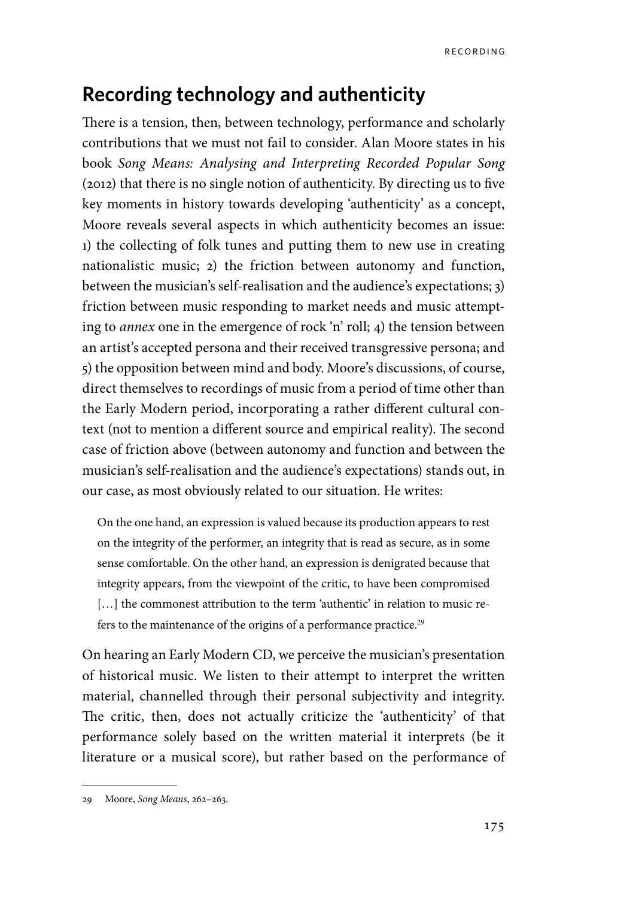## **Recording technology and authenticity**

There is a tension, then, between technology, performance and scholarly contributions that we must not fail to consider. Alan Moore states in his book *Song Means: Analysing and Interpreting Recorded Popular Song* (2012) that there is no single notion of authenticity. By directing us to five key moments in history towards developing 'authenticity' as a concept, Moore reveals several aspects in which authenticity becomes an issue: 1) the collecting of folk tunes and putting them to new use in creating nationalistic music; 2) the friction between autonomy and function, between the musician's self-realisation and the audience's expectations; 3) friction between music responding to market needs and music attempting to *annex* one in the emergence of rock 'n' roll; 4) the tension between an artist's accepted persona and their received transgressive persona; and 5) the opposition between mind and body. Moore's discussions, of course, direct themselves to recordings of music from a period of time other than the Early Modern period, incorporating a rather different cultural context (not to mention a different source and empirical reality). The second case of friction above (between autonomy and function and between the musician's self-realisation and the audience's expectations) stands out, in our case, as most obviously related to our situation. He writes:

On the one hand, an expression is valued because its production appears to rest on the integrity of the performer, an integrity that is read as secure, as in some sense comfortable. On the other hand, an expression is denigrated because that integrity appears, from the viewpoint of the critic, to have been compromised [...] the commonest attribution to the term 'authentic' in relation to music refers to the maintenance of the origins of a performance practice.<sup>29</sup>

On hearing an Early Modern CD, we perceive the musician's presentation of historical music. We listen to their attempt to interpret the written material, channelled through their personal subjectivity and integrity. The critic, then, does not actually criticize the 'authenticity' of that performance solely based on the written material it interprets (be it literature or a musical score), but rather based on the performance of

<sup>29</sup> Moore, *Song Means*, 262–263.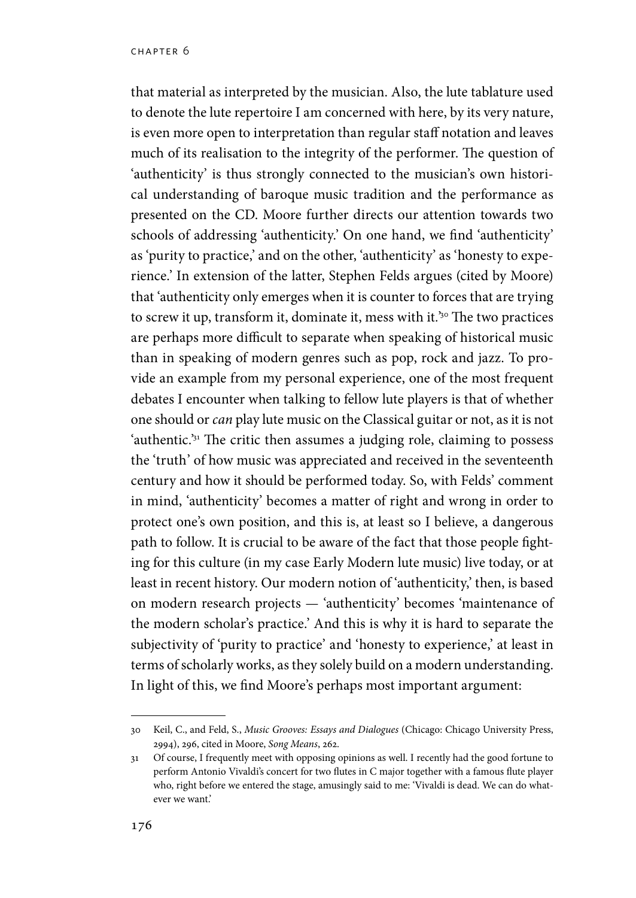that material as interpreted by the musician. Also, the lute tablature used to denote the lute repertoire I am concerned with here, by its very nature, is even more open to interpretation than regular staff notation and leaves much of its realisation to the integrity of the performer. The question of 'authenticity' is thus strongly connected to the musician's own historical understanding of baroque music tradition and the performance as presented on the CD. Moore further directs our attention towards two schools of addressing 'authenticity.' On one hand, we find 'authenticity' as 'purity to practice,' and on the other, 'authenticity' as 'honesty to experience.' In extension of the latter, Stephen Felds argues (cited by Moore) that 'authenticity only emerges when it is counter to forces that are trying to screw it up, transform it, dominate it, mess with it*.*' 30 The two practices are perhaps more difficult to separate when speaking of historical music than in speaking of modern genres such as pop, rock and jazz. To provide an example from my personal experience, one of the most frequent debates I encounter when talking to fellow lute players is that of whether one should or *can* play lute music on the Classical guitar or not, as it is not 'authentic.'31 The critic then assumes a judging role, claiming to possess the 'truth' of how music was appreciated and received in the seventeenth century and how it should be performed today. So, with Felds' comment in mind, 'authenticity' becomes a matter of right and wrong in order to protect one's own position, and this is, at least so I believe, a dangerous path to follow. It is crucial to be aware of the fact that those people fighting for this culture (in my case Early Modern lute music) live today, or at least in recent history. Our modern notion of 'authenticity,' then, is based on modern research projects — 'authenticity' becomes 'maintenance of the modern scholar's practice.' And this is why it is hard to separate the subjectivity of 'purity to practice' and 'honesty to experience,' at least in terms of scholarly works, as they solely build on a modern understanding. In light of this, we find Moore's perhaps most important argument:

<sup>30</sup> Keil, C., and Feld, S., *Music Grooves: Essays and Dialogues* (Chicago: Chicago University Press, 2994), 296, cited in Moore, *Song Means*, 262.

<sup>31</sup> Of course, I frequently meet with opposing opinions as well. I recently had the good fortune to perform Antonio Vivaldi's concert for two flutes in C major together with a famous flute player who, right before we entered the stage, amusingly said to me: 'Vivaldi is dead. We can do whatever we want.'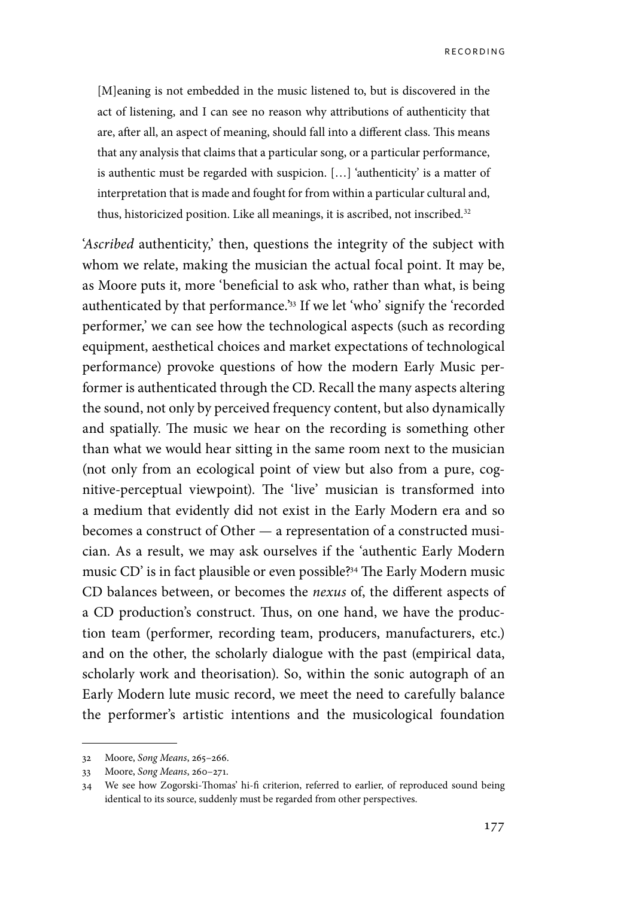**RECORDING** 

[M]eaning is not embedded in the music listened to, but is discovered in the act of listening, and I can see no reason why attributions of authenticity that are, after all, an aspect of meaning, should fall into a different class. This means that any analysis that claims that a particular song, or a particular performance, is authentic must be regarded with suspicion. […] 'authenticity' is a matter of interpretation that is made and fought for from within a particular cultural and, thus, historicized position. Like all meanings, it is ascribed, not inscribed*.* 32

'*Ascribed* authenticity,' then, questions the integrity of the subject with whom we relate, making the musician the actual focal point. It may be, as Moore puts it, more 'beneficial to ask who, rather than what, is being authenticated by that performance.'33 If we let 'who' signify the 'recorded performer,' we can see how the technological aspects (such as recording equipment, aesthetical choices and market expectations of technological performance) provoke questions of how the modern Early Music performer is authenticated through the CD. Recall the many aspects altering the sound, not only by perceived frequency content, but also dynamically and spatially. The music we hear on the recording is something other than what we would hear sitting in the same room next to the musician (not only from an ecological point of view but also from a pure, cognitive-perceptual viewpoint). The 'live' musician is transformed into a medium that evidently did not exist in the Early Modern era and so becomes a construct of Other — a representation of a constructed musician. As a result, we may ask ourselves if the 'authentic Early Modern music CD' is in fact plausible or even possible?34 The Early Modern music CD balances between, or becomes the *nexus* of, the different aspects of a CD production's construct. Thus, on one hand, we have the production team (performer, recording team, producers, manufacturers, etc.) and on the other, the scholarly dialogue with the past (empirical data, scholarly work and theorisation). So, within the sonic autograph of an Early Modern lute music record, we meet the need to carefully balance the performer's artistic intentions and the musicological foundation

<sup>32</sup> Moore, *Song Means*, 265–266.

<sup>33</sup> Moore, *Song Means*, 260–271.

<sup>34</sup> We see how Zogorski-Thomas' hi-fi criterion, referred to earlier, of reproduced sound being identical to its source, suddenly must be regarded from other perspectives.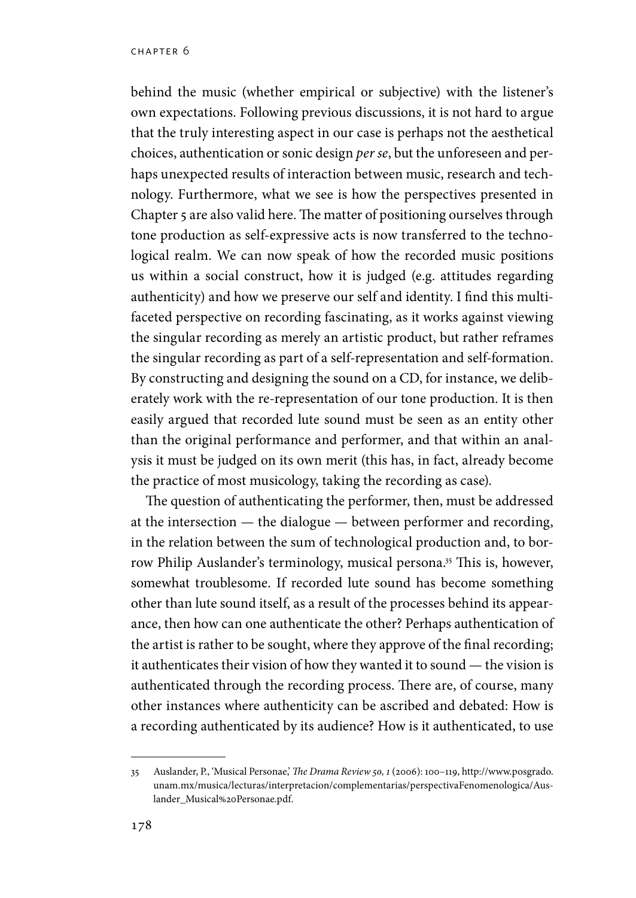behind the music (whether empirical or subjective) with the listener's own expectations. Following previous discussions, it is not hard to argue that the truly interesting aspect in our case is perhaps not the aesthetical choices, authentication or sonic design *per se*, but the unforeseen and perhaps unexpected results of interaction between music, research and technology. Furthermore, what we see is how the perspectives presented in Chapter 5 are also valid here. The matter of positioning ourselves through tone production as self-expressive acts is now transferred to the technological realm. We can now speak of how the recorded music positions us within a social construct, how it is judged (e.g. attitudes regarding authenticity) and how we preserve our self and identity. I find this multifaceted perspective on recording fascinating, as it works against viewing the singular recording as merely an artistic product, but rather reframes the singular recording as part of a self-representation and self-formation. By constructing and designing the sound on a CD, for instance, we deliberately work with the re-representation of our tone production. It is then easily argued that recorded lute sound must be seen as an entity other than the original performance and performer, and that within an analysis it must be judged on its own merit (this has, in fact, already become the practice of most musicology, taking the recording as case).

The question of authenticating the performer, then, must be addressed at the intersection — the dialogue — between performer and recording, in the relation between the sum of technological production and, to borrow Philip Auslander's terminology, musical persona.<sup>35</sup> This is, however, somewhat troublesome. If recorded lute sound has become something other than lute sound itself, as a result of the processes behind its appearance, then how can one authenticate the other? Perhaps authentication of the artist is rather to be sought, where they approve of the final recording; it authenticates their vision of how they wanted it to sound — the vision is authenticated through the recording process. There are, of course, many other instances where authenticity can be ascribed and debated: How is a recording authenticated by its audience? How is it authenticated, to use

<sup>35</sup> Auslander, P., 'Musical Personae,' *The Drama Review 50, 1* (2006): 100–119, http://www.posgrado. unam.mx/musica/lecturas/interpretacion/complementarias/perspectivaFenomenologica/Auslander\_Musical%20Personae.pdf.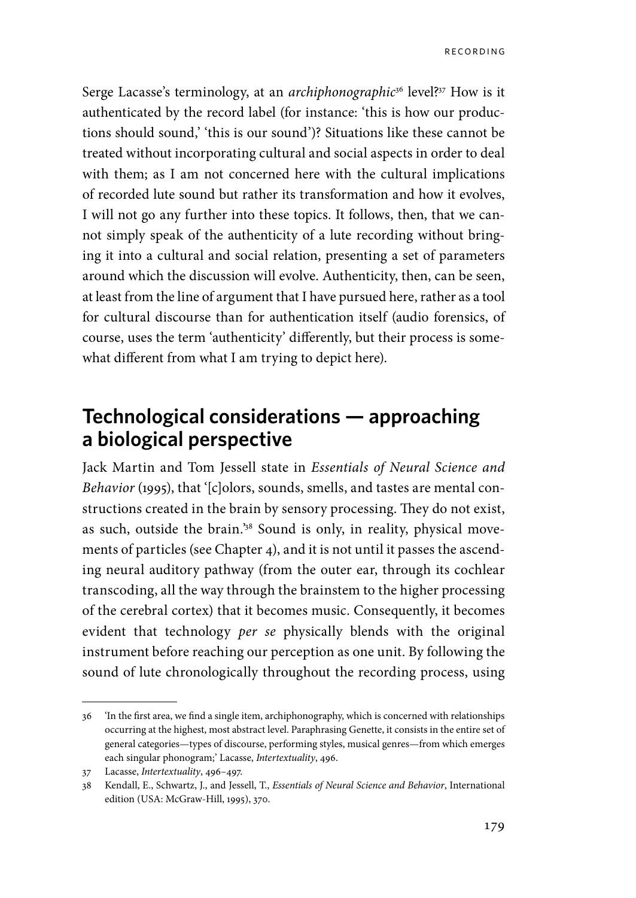Serge Lacasse's terminology, at an *archiphonographic*36 level?37 How is it authenticated by the record label (for instance: 'this is how our productions should sound,' 'this is our sound')? Situations like these cannot be treated without incorporating cultural and social aspects in order to deal with them; as I am not concerned here with the cultural implications of recorded lute sound but rather its transformation and how it evolves, I will not go any further into these topics. It follows, then, that we cannot simply speak of the authenticity of a lute recording without bringing it into a cultural and social relation, presenting a set of parameters around which the discussion will evolve. Authenticity, then, can be seen, at least from the line of argument that I have pursued here, rather as a tool for cultural discourse than for authentication itself (audio forensics, of course, uses the term 'authenticity' differently, but their process is somewhat different from what I am trying to depict here).

# **Technological considerations — approaching a biological perspective**

Jack Martin and Tom Jessell state in *Essentials of Neural Science and Behavior* (1995), that '[c]olors, sounds, smells, and tastes are mental constructions created in the brain by sensory processing. They do not exist, as such, outside the brain.'38 Sound is only, in reality, physical movements of particles (see Chapter 4), and it is not until it passes the ascending neural auditory pathway (from the outer ear, through its cochlear transcoding, all the way through the brainstem to the higher processing of the cerebral cortex) that it becomes music. Consequently, it becomes evident that technology *per se* physically blends with the original instrument before reaching our perception as one unit. By following the sound of lute chronologically throughout the recording process, using

<sup>36</sup> 'In the first area, we find a single item, archiphonography, which is concerned with relationships occurring at the highest, most abstract level. Paraphrasing Genette, it consists in the entire set of general categories—types of discourse, performing styles, musical genres—from which emerges each singular phonogram;' Lacasse, *Intertextuality*, 496.

<sup>37</sup> Lacasse, *Intertextuality*, 496–497.

<sup>38</sup> Kendall, E., Schwartz, J., and Jessell, T., *Essentials of Neural Science and Behavior*, International edition (USA: McGraw-Hill, 1995), 370.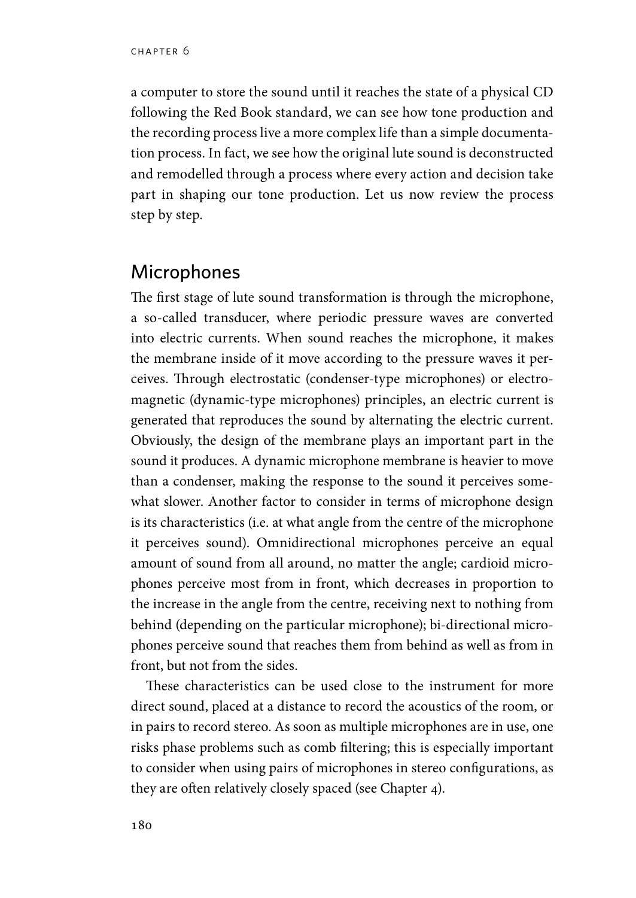a computer to store the sound until it reaches the state of a physical CD following the Red Book standard, we can see how tone production and the recording process live a more complex life than a simple documentation process. In fact, we see how the original lute sound is deconstructed and remodelled through a process where every action and decision take part in shaping our tone production. Let us now review the process step by step.

#### **Microphones**

The first stage of lute sound transformation is through the microphone, a so-called transducer, where periodic pressure waves are converted into electric currents. When sound reaches the microphone, it makes the membrane inside of it move according to the pressure waves it perceives. Through electrostatic (condenser-type microphones) or electromagnetic (dynamic-type microphones) principles, an electric current is generated that reproduces the sound by alternating the electric current. Obviously, the design of the membrane plays an important part in the sound it produces. A dynamic microphone membrane is heavier to move than a condenser, making the response to the sound it perceives somewhat slower. Another factor to consider in terms of microphone design is its characteristics (i.e. at what angle from the centre of the microphone it perceives sound). Omnidirectional microphones perceive an equal amount of sound from all around, no matter the angle; cardioid microphones perceive most from in front, which decreases in proportion to the increase in the angle from the centre, receiving next to nothing from behind (depending on the particular microphone); bi-directional microphones perceive sound that reaches them from behind as well as from in front, but not from the sides.

These characteristics can be used close to the instrument for more direct sound, placed at a distance to record the acoustics of the room, or in pairs to record stereo. As soon as multiple microphones are in use, one risks phase problems such as comb filtering; this is especially important to consider when using pairs of microphones in stereo configurations, as they are often relatively closely spaced (see Chapter 4).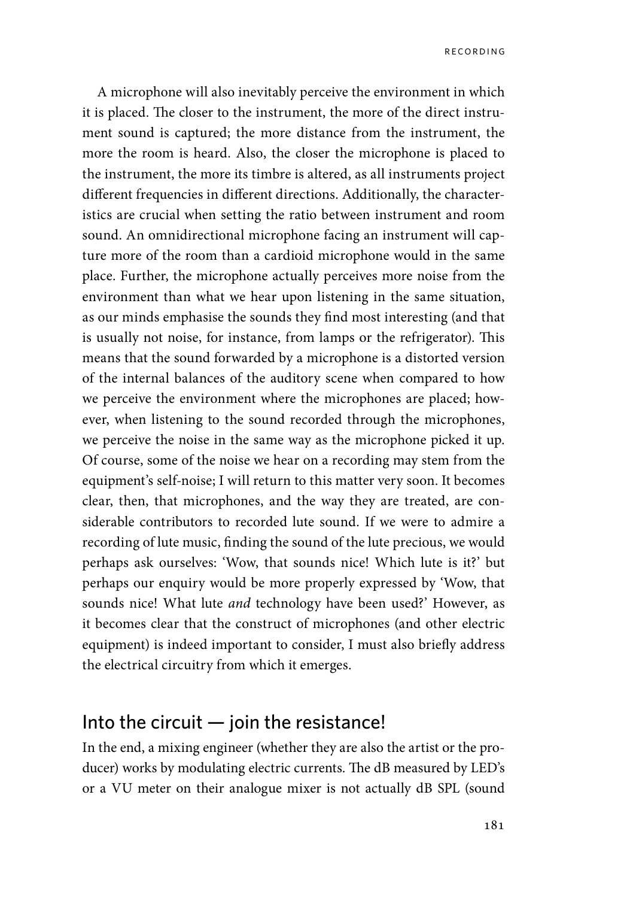A microphone will also inevitably perceive the environment in which it is placed. The closer to the instrument, the more of the direct instrument sound is captured; the more distance from the instrument, the more the room is heard. Also, the closer the microphone is placed to the instrument, the more its timbre is altered, as all instruments project different frequencies in different directions. Additionally, the characteristics are crucial when setting the ratio between instrument and room sound. An omnidirectional microphone facing an instrument will capture more of the room than a cardioid microphone would in the same place. Further, the microphone actually perceives more noise from the environment than what we hear upon listening in the same situation, as our minds emphasise the sounds they find most interesting (and that is usually not noise, for instance, from lamps or the refrigerator). This means that the sound forwarded by a microphone is a distorted version of the internal balances of the auditory scene when compared to how we perceive the environment where the microphones are placed; however, when listening to the sound recorded through the microphones, we perceive the noise in the same way as the microphone picked it up. Of course, some of the noise we hear on a recording may stem from the equipment's self-noise; I will return to this matter very soon. It becomes clear, then, that microphones, and the way they are treated, are considerable contributors to recorded lute sound. If we were to admire a recording of lute music, finding the sound of the lute precious, we would perhaps ask ourselves: 'Wow, that sounds nice! Which lute is it?' but perhaps our enquiry would be more properly expressed by 'Wow, that sounds nice! What lute *and* technology have been used?' However, as it becomes clear that the construct of microphones (and other electric equipment) is indeed important to consider, I must also briefly address the electrical circuitry from which it emerges.

#### Into the circuit  $-$  join the resistance!

In the end, a mixing engineer (whether they are also the artist or the producer) works by modulating electric currents. The dB measured by LED's or a VU meter on their analogue mixer is not actually dB SPL (sound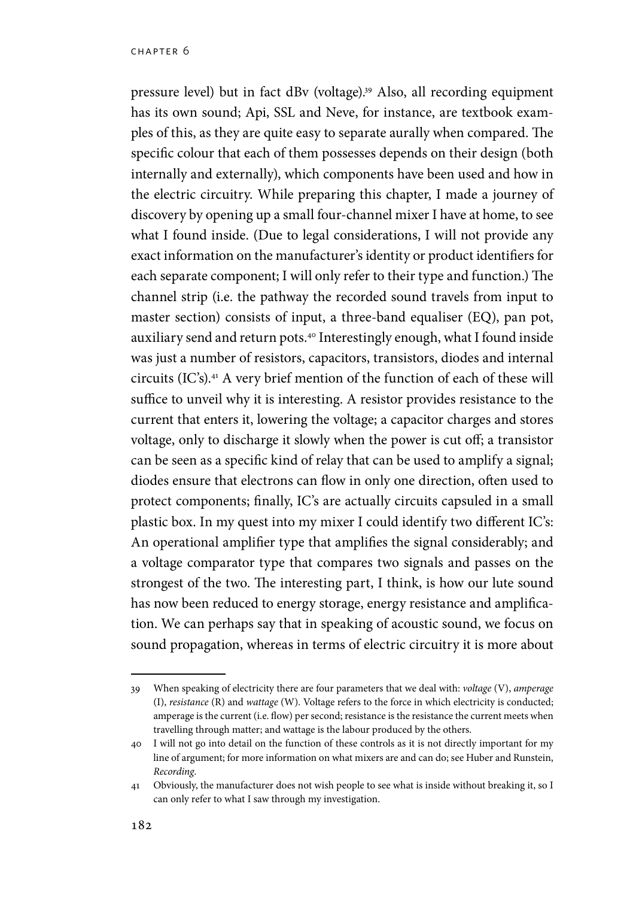pressure level) but in fact dBv (voltage).39 Also, all recording equipment has its own sound; Api, SSL and Neve, for instance, are textbook examples of this, as they are quite easy to separate aurally when compared. The specific colour that each of them possesses depends on their design (both internally and externally), which components have been used and how in the electric circuitry. While preparing this chapter, I made a journey of discovery by opening up a small four-channel mixer I have at home, to see what I found inside. (Due to legal considerations, I will not provide any exact information on the manufacturer's identity or product identifiers for each separate component; I will only refer to their type and function.) The channel strip (i.e. the pathway the recorded sound travels from input to master section) consists of input, a three-band equaliser (EQ), pan pot, auxiliary send and return pots.40 Interestingly enough, what I found inside was just a number of resistors, capacitors, transistors, diodes and internal circuits (IC's).41 A very brief mention of the function of each of these will suffice to unveil why it is interesting. A resistor provides resistance to the current that enters it, lowering the voltage; a capacitor charges and stores voltage, only to discharge it slowly when the power is cut off; a transistor can be seen as a specific kind of relay that can be used to amplify a signal; diodes ensure that electrons can flow in only one direction, often used to protect components; finally, IC's are actually circuits capsuled in a small plastic box. In my quest into my mixer I could identify two different IC's: An operational amplifier type that amplifies the signal considerably; and a voltage comparator type that compares two signals and passes on the strongest of the two. The interesting part, I think, is how our lute sound has now been reduced to energy storage, energy resistance and amplification. We can perhaps say that in speaking of acoustic sound, we focus on sound propagation, whereas in terms of electric circuitry it is more about

<sup>39</sup> When speaking of electricity there are four parameters that we deal with: *voltage* (V), *amperage*  (I), *resistance* (R) and *wattage* (W)*.* Voltage refers to the force in which electricity is conducted; amperage is the current (i.e. flow) per second; resistance is the resistance the current meets when travelling through matter; and wattage is the labour produced by the others.

<sup>40</sup> I will not go into detail on the function of these controls as it is not directly important for my line of argument; for more information on what mixers are and can do; see Huber and Runstein, *Recording*.

<sup>41</sup> Obviously, the manufacturer does not wish people to see what is inside without breaking it, so I can only refer to what I saw through my investigation.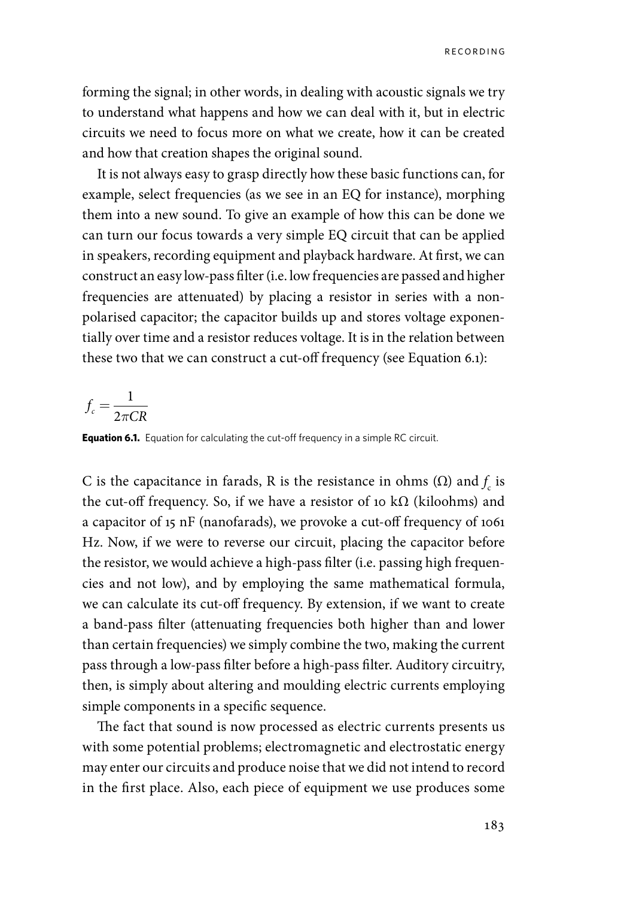forming the signal; in other words, in dealing with acoustic signals we try to understand what happens and how we can deal with it, but in electric circuits we need to focus more on what we create, how it can be created and how that creation shapes the original sound.

It is not always easy to grasp directly how these basic functions can, for example, select frequencies (as we see in an EQ for instance), morphing them into a new sound. To give an example of how this can be done we can turn our focus towards a very simple EQ circuit that can be applied in speakers, recording equipment and playback hardware. At first, we can construct an easy low-pass filter (i.e. low frequencies are passed and higher frequencies are attenuated) by placing a resistor in series with a nonpolarised capacitor; the capacitor builds up and stores voltage exponentially over time and a resistor reduces voltage. It is in the relation between these two that we can construct a cut-off frequency (see Equation 6.1):

$$
f_c = \frac{1}{2\pi CR}
$$

**Equation 6.1.** Equation for calculating the cut-off frequency in a simple RC circuit.

C is the capacitance in farads, R is the resistance in ohms  $(\Omega)$  and  $f_c$  is the cut-off frequency. So, if we have a resistor of 10 k $\Omega$  (kiloohms) and a capacitor of 15 nF (nanofarads), we provoke a cut-off frequency of 1061 Hz. Now, if we were to reverse our circuit, placing the capacitor before the resistor, we would achieve a high-pass filter (i.e. passing high frequencies and not low), and by employing the same mathematical formula, we can calculate its cut-off frequency. By extension, if we want to create a band-pass filter (attenuating frequencies both higher than and lower than certain frequencies) we simply combine the two, making the current pass through a low-pass filter before a high-pass filter. Auditory circuitry, then, is simply about altering and moulding electric currents employing simple components in a specific sequence.

The fact that sound is now processed as electric currents presents us with some potential problems; electromagnetic and electrostatic energy may enter our circuits and produce noise that we did not intend to record in the first place. Also, each piece of equipment we use produces some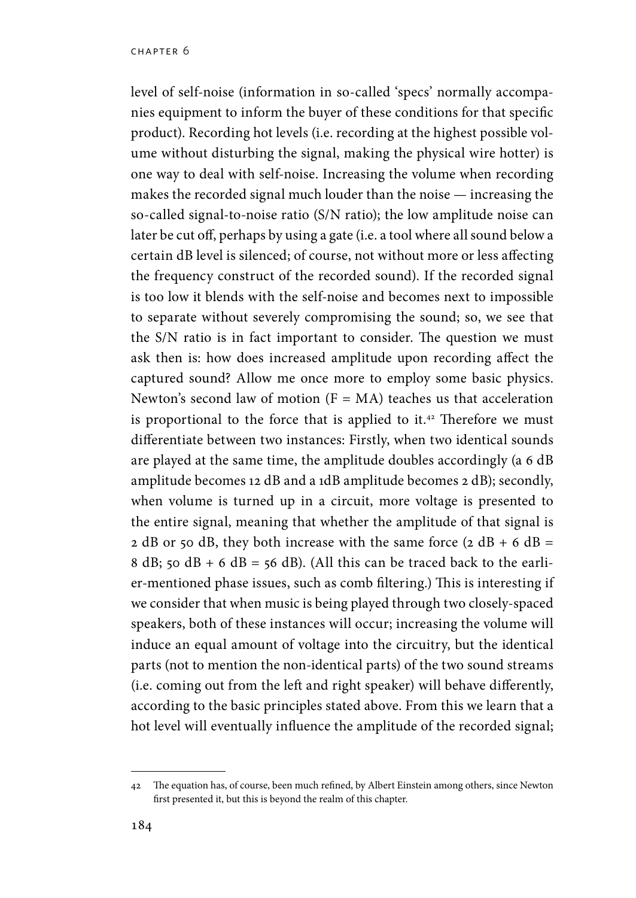level of self-noise (information in so-called 'specs' normally accompanies equipment to inform the buyer of these conditions for that specific product). Recording hot levels (i.e. recording at the highest possible volume without disturbing the signal, making the physical wire hotter) is one way to deal with self-noise. Increasing the volume when recording makes the recorded signal much louder than the noise — increasing the so-called signal-to-noise ratio (S/N ratio); the low amplitude noise can later be cut off, perhaps by using a gate (i.e. a tool where all sound below a certain dB level is silenced; of course, not without more or less affecting the frequency construct of the recorded sound). If the recorded signal is too low it blends with the self-noise and becomes next to impossible to separate without severely compromising the sound; so, we see that the S/N ratio is in fact important to consider. The question we must ask then is: how does increased amplitude upon recording affect the captured sound? Allow me once more to employ some basic physics. Newton's second law of motion  $(F = MA)$  teaches us that acceleration is proportional to the force that is applied to it.<sup>42</sup> Therefore we must differentiate between two instances: Firstly, when two identical sounds are played at the same time, the amplitude doubles accordingly (a 6 dB amplitude becomes 12 dB and a 1dB amplitude becomes 2 dB); secondly, when volume is turned up in a circuit, more voltage is presented to the entire signal, meaning that whether the amplitude of that signal is 2 dB or 50 dB, they both increase with the same force  $(2 dB + 6 dB =$ 8 dB; 50 dB + 6 dB = 56 dB). (All this can be traced back to the earlier-mentioned phase issues, such as comb filtering.) This is interesting if we consider that when music is being played through two closely-spaced speakers, both of these instances will occur; increasing the volume will induce an equal amount of voltage into the circuitry, but the identical parts (not to mention the non-identical parts) of the two sound streams (i.e. coming out from the left and right speaker) will behave differently, according to the basic principles stated above. From this we learn that a hot level will eventually influence the amplitude of the recorded signal;

<sup>42</sup> The equation has, of course, been much refined, by Albert Einstein among others, since Newton first presented it, but this is beyond the realm of this chapter.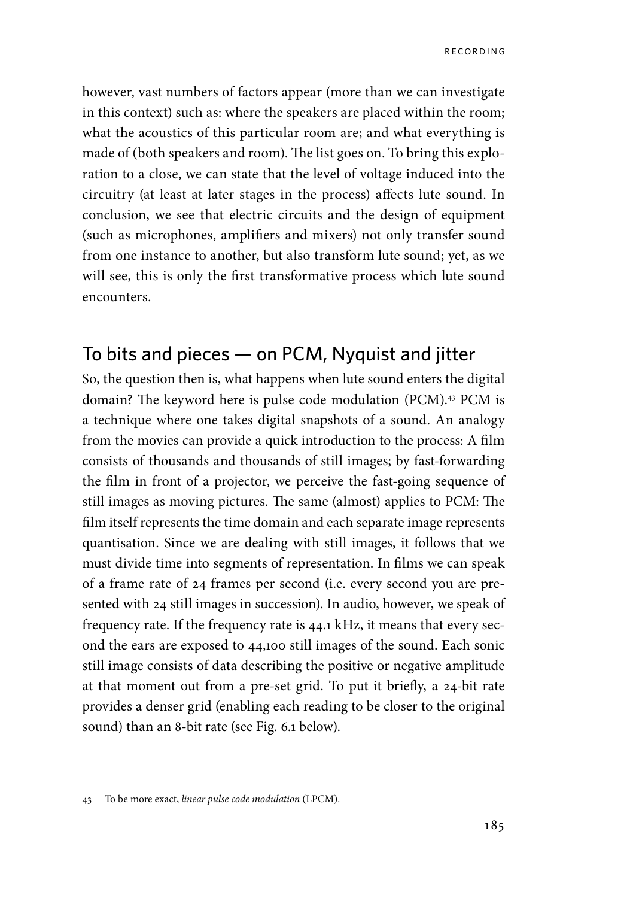however, vast numbers of factors appear (more than we can investigate in this context) such as: where the speakers are placed within the room; what the acoustics of this particular room are; and what everything is made of (both speakers and room). The list goes on. To bring this exploration to a close, we can state that the level of voltage induced into the circuitry (at least at later stages in the process) affects lute sound. In conclusion, we see that electric circuits and the design of equipment (such as microphones, amplifiers and mixers) not only transfer sound from one instance to another, but also transform lute sound; yet, as we will see, this is only the first transformative process which lute sound encounters.

### To bits and pieces — on PCM, Nyquist and jitter

So, the question then is, what happens when lute sound enters the digital domain? The keyword here is pulse code modulation (PCM).<sup>43</sup> PCM is a technique where one takes digital snapshots of a sound. An analogy from the movies can provide a quick introduction to the process: A film consists of thousands and thousands of still images; by fast-forwarding the film in front of a projector, we perceive the fast-going sequence of still images as moving pictures. The same (almost) applies to PCM: The film itself represents the time domain and each separate image represents quantisation. Since we are dealing with still images, it follows that we must divide time into segments of representation. In films we can speak of a frame rate of 24 frames per second (i.e. every second you are presented with 24 still images in succession). In audio, however, we speak of frequency rate. If the frequency rate is 44.1 kHz, it means that every second the ears are exposed to 44,100 still images of the sound. Each sonic still image consists of data describing the positive or negative amplitude at that moment out from a pre-set grid. To put it briefly, a 24-bit rate provides a denser grid (enabling each reading to be closer to the original sound) than an 8-bit rate (see Fig. 6.1 below).

<sup>43</sup> To be more exact, *linear pulse code modulation* (LPCM).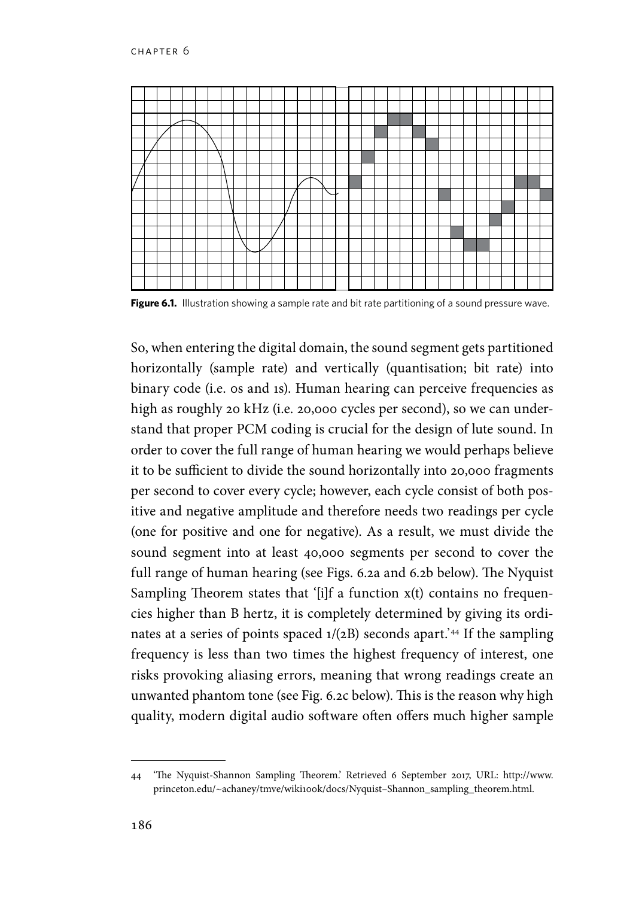

**Figure 6.1.** Illustration showing a sample rate and bit rate partitioning of a sound pressure wave.

So, when entering the digital domain, the sound segment gets partitioned horizontally (sample rate) and vertically (quantisation; bit rate) into binary code (i.e. 0s and 1s). Human hearing can perceive frequencies as high as roughly 20 kHz (i.e. 20,000 cycles per second), so we can understand that proper PCM coding is crucial for the design of lute sound. In order to cover the full range of human hearing we would perhaps believe it to be sufficient to divide the sound horizontally into 20,000 fragments per second to cover every cycle; however, each cycle consist of both positive and negative amplitude and therefore needs two readings per cycle (one for positive and one for negative). As a result, we must divide the sound segment into at least 40,000 segments per second to cover the full range of human hearing (see Figs. 6.2a and 6.2b below). The Nyquist Sampling Theorem states that '[i]f a function  $x(t)$  contains no frequencies higher than B hertz, it is completely determined by giving its ordinates at a series of points spaced  $1/(2B)$  seconds apart.<sup>'44</sup> If the sampling frequency is less than two times the highest frequency of interest, one risks provoking aliasing errors, meaning that wrong readings create an unwanted phantom tone (see Fig. 6.2c below). This is the reason why high quality, modern digital audio software often offers much higher sample

<sup>44</sup> 'The Nyquist-Shannon Sampling Theorem.' Retrieved 6 September 2017, URL: http://www. princeton.edu/~achaney/tmve/wiki100k/docs/Nyquist-Shannon\_sampling\_theorem.html.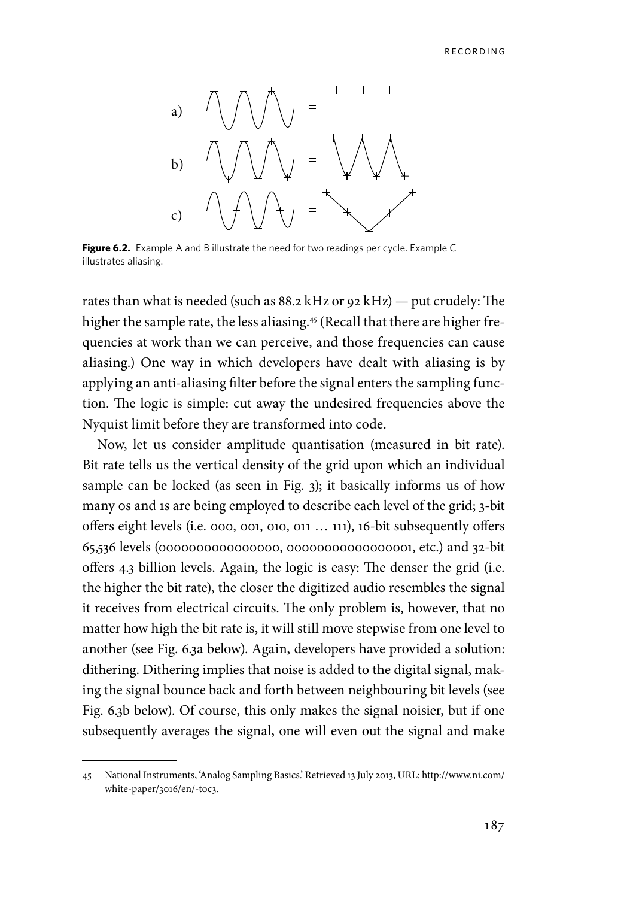

**Figure 6.2.** Example A and B illustrate the need for two readings per cycle. Example C illustrates aliasing.

rates than what is needed (such as 88.2 kHz or 92 kHz) — put crudely: The higher the sample rate, the less aliasing.<sup>45</sup> (Recall that there are higher frequencies at work than we can perceive, and those frequencies can cause aliasing.) One way in which developers have dealt with aliasing is by applying an anti-aliasing filter before the signal enters the sampling function. The logic is simple: cut away the undesired frequencies above the Nyquist limit before they are transformed into code.

Now, let us consider amplitude quantisation (measured in bit rate). Bit rate tells us the vertical density of the grid upon which an individual sample can be locked (as seen in Fig. 3); it basically informs us of how many 0s and 1s are being employed to describe each level of the grid; 3-bit offers eight levels (i.e. 000, 001, 010, 011 … 111), 16-bit subsequently offers 65,536 levels (0000000000000000, 00000000000000001, etc.) and 32-bit offers 4.3 billion levels. Again, the logic is easy: The denser the grid (i.e. the higher the bit rate), the closer the digitized audio resembles the signal it receives from electrical circuits. The only problem is, however, that no matter how high the bit rate is, it will still move stepwise from one level to another (see Fig. 6.3a below). Again, developers have provided a solution: dithering. Dithering implies that noise is added to the digital signal, making the signal bounce back and forth between neighbouring bit levels (see Fig. 6.3b below). Of course, this only makes the signal noisier, but if one subsequently averages the signal, one will even out the signal and make

<sup>45</sup> National Instruments, 'Analog Sampling Basics.' Retrieved 13 July 2013, URL: http://www.ni.com/ white-paper/3016/en/-toc3.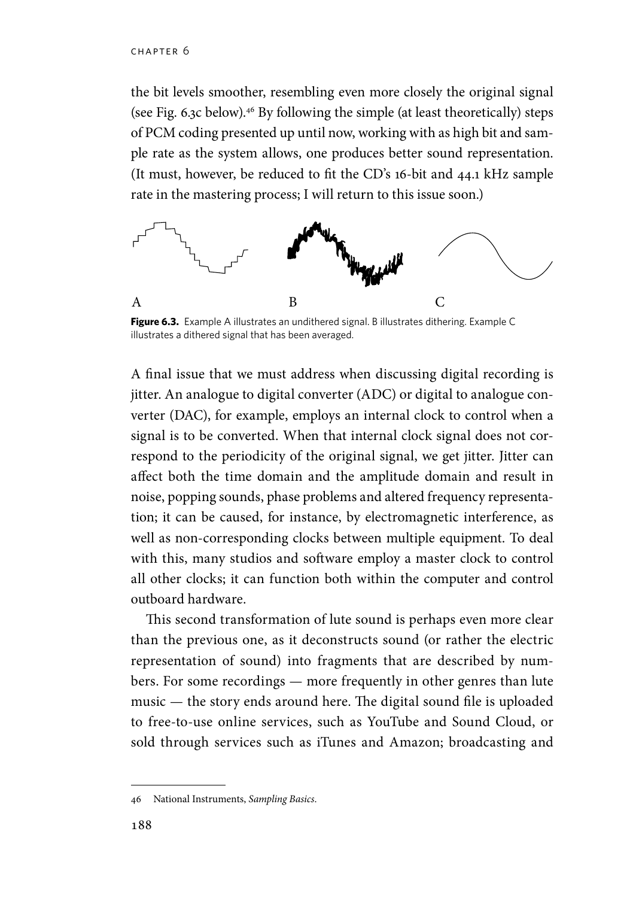the bit levels smoother, resembling even more closely the original signal (see Fig. 6.3c below).46 By following the simple (at least theoretically) steps of PCM coding presented up until now, working with as high bit and sample rate as the system allows, one produces better sound representation. (It must, however, be reduced to fit the CD's 16-bit and 44.1 kHz sample rate in the mastering process; I will return to this issue soon.)



**Figure 6.3.** Example A illustrates an undithered signal. B illustrates dithering. Example C illustrates a dithered signal that has been averaged.

A final issue that we must address when discussing digital recording is jitter. An analogue to digital converter (ADC) or digital to analogue converter (DAC), for example, employs an internal clock to control when a signal is to be converted. When that internal clock signal does not correspond to the periodicity of the original signal, we get jitter. Jitter can affect both the time domain and the amplitude domain and result in noise, popping sounds, phase problems and altered frequency representation; it can be caused, for instance, by electromagnetic interference, as well as non-corresponding clocks between multiple equipment. To deal with this, many studios and software employ a master clock to control all other clocks; it can function both within the computer and control outboard hardware.

This second transformation of lute sound is perhaps even more clear than the previous one, as it deconstructs sound (or rather the electric representation of sound) into fragments that are described by numbers. For some recordings — more frequently in other genres than lute music — the story ends around here. The digital sound file is uploaded to free-to-use online services, such as YouTube and Sound Cloud, or sold through services such as iTunes and Amazon; broadcasting and

<sup>46</sup> National Instruments, *Sampling Basics*.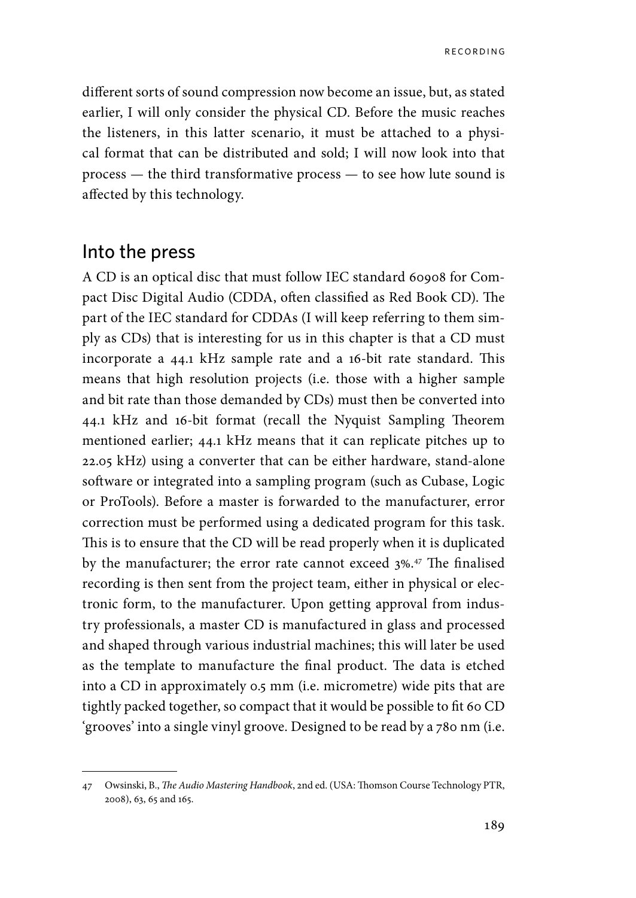different sorts of sound compression now become an issue, but, as stated earlier, I will only consider the physical CD. Before the music reaches the listeners, in this latter scenario, it must be attached to a physical format that can be distributed and sold; I will now look into that process — the third transformative process — to see how lute sound is affected by this technology.

#### Into the press

A CD is an optical disc that must follow IEC standard 60908 for Compact Disc Digital Audio (CDDA, often classified as Red Book CD). The part of the IEC standard for CDDAs (I will keep referring to them simply as CDs) that is interesting for us in this chapter is that a CD must incorporate a 44.1 kHz sample rate and a 16-bit rate standard. This means that high resolution projects (i.e. those with a higher sample and bit rate than those demanded by CDs) must then be converted into 44.1 kHz and 16-bit format (recall the Nyquist Sampling Theorem mentioned earlier; 44.1 kHz means that it can replicate pitches up to 22.05 kHz) using a converter that can be either hardware, stand-alone software or integrated into a sampling program (such as Cubase, Logic or ProTools). Before a master is forwarded to the manufacturer, error correction must be performed using a dedicated program for this task. This is to ensure that the CD will be read properly when it is duplicated by the manufacturer; the error rate cannot exceed 3%.<sup>47</sup> The finalised recording is then sent from the project team, either in physical or electronic form, to the manufacturer. Upon getting approval from industry professionals, a master CD is manufactured in glass and processed and shaped through various industrial machines; this will later be used as the template to manufacture the final product. The data is etched into a CD in approximately 0.5 mm (i.e. micrometre) wide pits that are tightly packed together, so compact that it would be possible to fit 60 CD 'grooves' into a single vinyl groove. Designed to be read by a 780 nm (i.e.

<sup>47</sup> Owsinski, B., *The Audio Mastering Handbook*, 2nd ed. (USA: Thomson Course Technology PTR, 2008), 63, 65 and 165.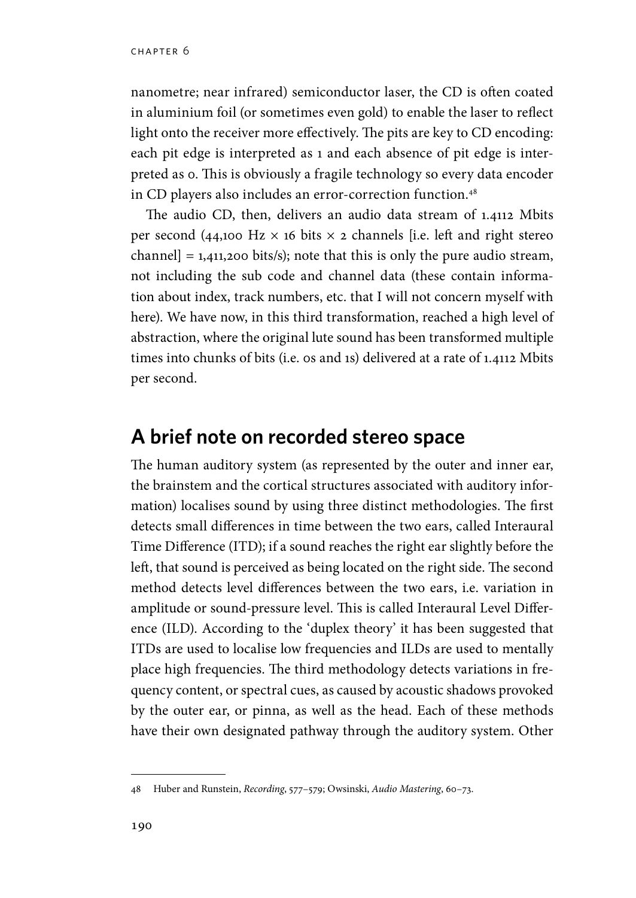nanometre; near infrared) semiconductor laser, the CD is often coated in aluminium foil (or sometimes even gold) to enable the laser to reflect light onto the receiver more effectively. The pits are key to CD encoding: each pit edge is interpreted as 1 and each absence of pit edge is interpreted as 0. This is obviously a fragile technology so every data encoder in CD players also includes an error-correction function.<sup>48</sup>

The audio CD, then, delivers an audio data stream of 1.4112 Mbits per second (44,100 Hz  $\times$  16 bits  $\times$  2 channels [i.e. left and right stereo channel] =  $1,411,200$  bits/s); note that this is only the pure audio stream, not including the sub code and channel data (these contain information about index, track numbers, etc. that I will not concern myself with here). We have now, in this third transformation, reached a high level of abstraction, where the original lute sound has been transformed multiple times into chunks of bits (i.e. 0s and 1s) delivered at a rate of 1.4112 Mbits per second.

## **A brief note on recorded stereo space**

The human auditory system (as represented by the outer and inner ear, the brainstem and the cortical structures associated with auditory information) localises sound by using three distinct methodologies. The first detects small differences in time between the two ears, called Interaural Time Difference (ITD); if a sound reaches the right ear slightly before the left, that sound is perceived as being located on the right side. The second method detects level differences between the two ears, i.e. variation in amplitude or sound-pressure level. This is called Interaural Level Difference (ILD). According to the 'duplex theory' it has been suggested that ITDs are used to localise low frequencies and ILDs are used to mentally place high frequencies. The third methodology detects variations in frequency content, or spectral cues, as caused by acoustic shadows provoked by the outer ear, or pinna, as well as the head. Each of these methods have their own designated pathway through the auditory system. Other

<sup>48</sup> Huber and Runstein, *Recording*, 577–579; Owsinski, *Audio Mastering*, 60–73.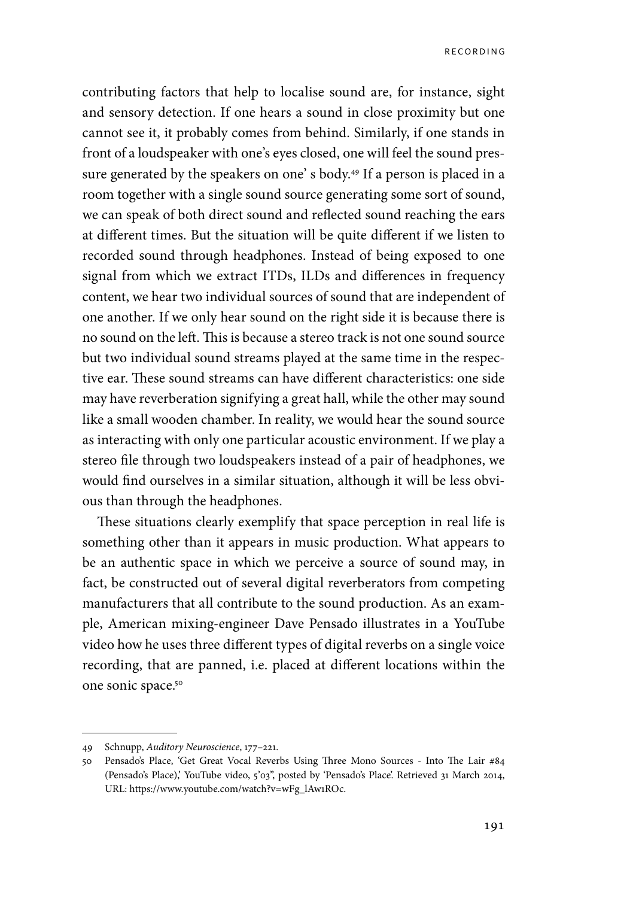contributing factors that help to localise sound are, for instance, sight and sensory detection. If one hears a sound in close proximity but one cannot see it, it probably comes from behind. Similarly, if one stands in front of a loudspeaker with one's eyes closed, one will feel the sound pressure generated by the speakers on one's body.<sup>49</sup> If a person is placed in a room together with a single sound source generating some sort of sound, we can speak of both direct sound and reflected sound reaching the ears at different times. But the situation will be quite different if we listen to recorded sound through headphones. Instead of being exposed to one signal from which we extract ITDs, ILDs and differences in frequency content, we hear two individual sources of sound that are independent of one another. If we only hear sound on the right side it is because there is no sound on the left. This is because a stereo track is not one sound source but two individual sound streams played at the same time in the respective ear. These sound streams can have different characteristics: one side may have reverberation signifying a great hall, while the other may sound like a small wooden chamber. In reality, we would hear the sound source as interacting with only one particular acoustic environment. If we play a stereo file through two loudspeakers instead of a pair of headphones, we would find ourselves in a similar situation, although it will be less obvious than through the headphones.

These situations clearly exemplify that space perception in real life is something other than it appears in music production. What appears to be an authentic space in which we perceive a source of sound may, in fact, be constructed out of several digital reverberators from competing manufacturers that all contribute to the sound production. As an example, American mixing-engineer Dave Pensado illustrates in a YouTube video how he uses three different types of digital reverbs on a single voice recording, that are panned, i.e. placed at different locations within the one sonic space.50

<sup>49</sup> Schnupp, *Auditory Neuroscience*, 177–221.

<sup>50</sup> Pensado's Place, 'Get Great Vocal Reverbs Using Three Mono Sources - Into The Lair #84 (Pensado's Place),' YouTube video, 5'03", posted by 'Pensado's Place'. Retrieved 31 March 2014, URL: https://www.youtube.com/watch?v=wFg\_lAw1ROc.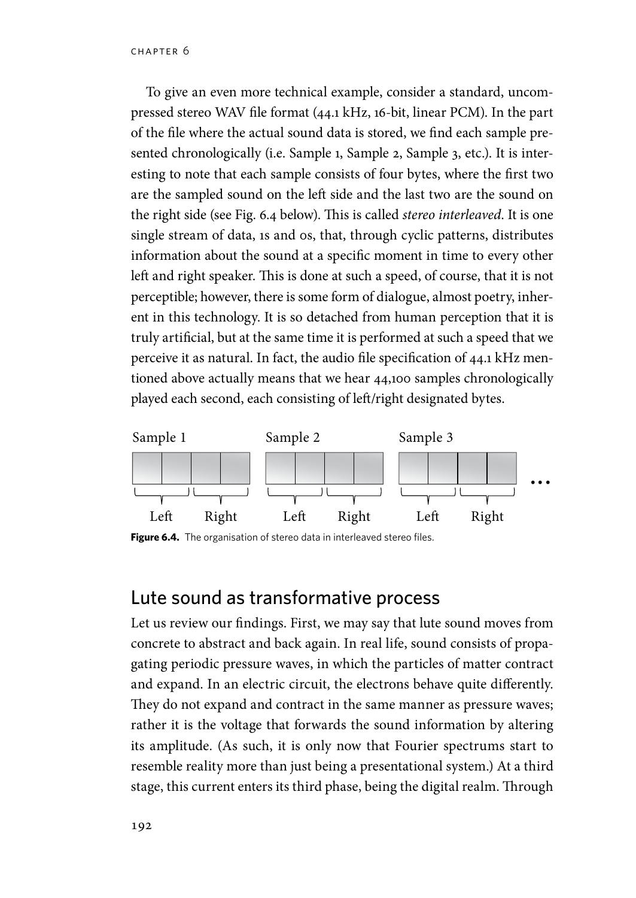To give an even more technical example, consider a standard, uncompressed stereo WAV file format (44.1 kHz, 16-bit, linear PCM). In the part of the file where the actual sound data is stored, we find each sample presented chronologically (i.e. Sample 1, Sample 2, Sample 3, etc.). It is interesting to note that each sample consists of four bytes, where the first two are the sampled sound on the left side and the last two are the sound on the right side (see Fig. 6.4 below). This is called *stereo interleaved*. It is one single stream of data, 1s and 0s, that, through cyclic patterns, distributes information about the sound at a specific moment in time to every other left and right speaker. This is done at such a speed, of course, that it is not perceptible; however, there is some form of dialogue, almost poetry, inherent in this technology. It is so detached from human perception that it is truly artificial, but at the same time it is performed at such a speed that we perceive it as natural. In fact, the audio file specification of 44.1 kHz mentioned above actually means that we hear 44,100 samples chronologically played each second, each consisting of left/right designated bytes.



Figure 6.4. The organisation of stereo data in interleaved stereo files.

#### Lute sound as transformative process

Let us review our findings. First, we may say that lute sound moves from concrete to abstract and back again. In real life, sound consists of propagating periodic pressure waves, in which the particles of matter contract and expand. In an electric circuit, the electrons behave quite differently. They do not expand and contract in the same manner as pressure waves; rather it is the voltage that forwards the sound information by altering its amplitude. (As such, it is only now that Fourier spectrums start to resemble reality more than just being a presentational system.) At a third stage, this current enters its third phase, being the digital realm. Through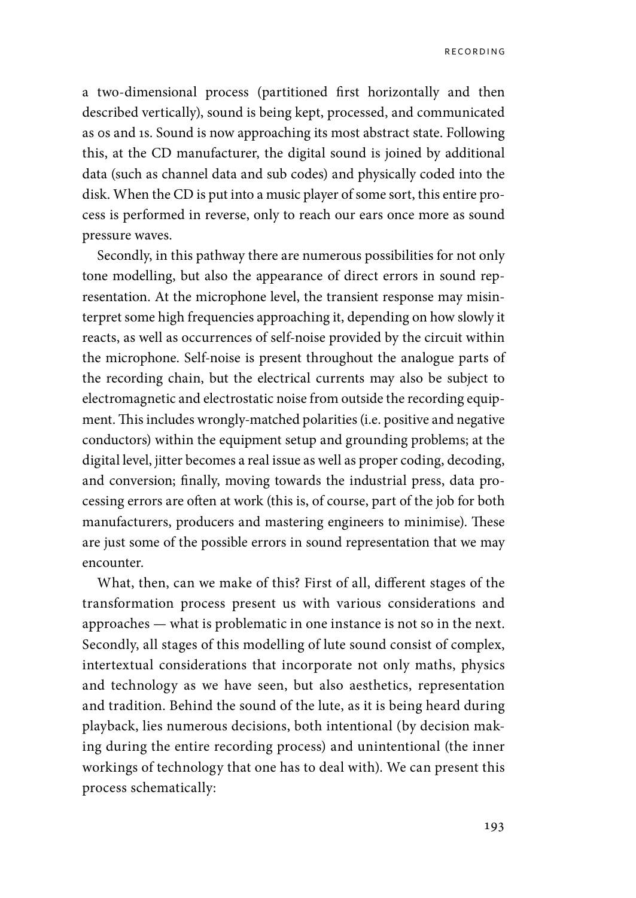a two-dimensional process (partitioned first horizontally and then described vertically), sound is being kept, processed, and communicated as 0s and 1s. Sound is now approaching its most abstract state. Following this, at the CD manufacturer, the digital sound is joined by additional data (such as channel data and sub codes) and physically coded into the disk. When the CD is put into a music player of some sort, this entire process is performed in reverse, only to reach our ears once more as sound pressure waves.

Secondly, in this pathway there are numerous possibilities for not only tone modelling, but also the appearance of direct errors in sound representation. At the microphone level, the transient response may misinterpret some high frequencies approaching it, depending on how slowly it reacts, as well as occurrences of self-noise provided by the circuit within the microphone. Self-noise is present throughout the analogue parts of the recording chain, but the electrical currents may also be subject to electromagnetic and electrostatic noise from outside the recording equipment. This includes wrongly-matched polarities (i.e. positive and negative conductors) within the equipment setup and grounding problems; at the digital level, jitter becomes a real issue as well as proper coding, decoding, and conversion; finally, moving towards the industrial press, data processing errors are often at work (this is, of course, part of the job for both manufacturers, producers and mastering engineers to minimise). These are just some of the possible errors in sound representation that we may encounter.

What, then, can we make of this? First of all, different stages of the transformation process present us with various considerations and approaches — what is problematic in one instance is not so in the next. Secondly, all stages of this modelling of lute sound consist of complex, intertextual considerations that incorporate not only maths, physics and technology as we have seen, but also aesthetics, representation and tradition. Behind the sound of the lute, as it is being heard during playback, lies numerous decisions, both intentional (by decision making during the entire recording process) and unintentional (the inner workings of technology that one has to deal with). We can present this process schematically: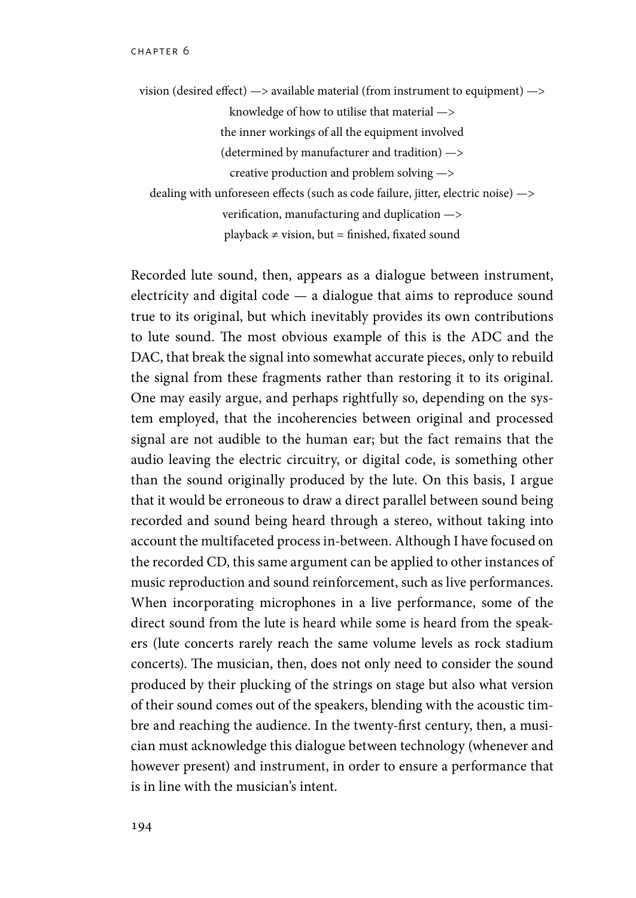vision (desired effect) —> available material (from instrument to equipment) —> knowledge of how to utilise that material —> the inner workings of all the equipment involved (determined by manufacturer and tradition) —> creative production and problem solving —> dealing with unforeseen effects (such as code failure, jitter, electric noise) —> verification, manufacturing and duplication —> playback  $\neq$  vision, but = finished, fixated sound

Recorded lute sound, then, appears as a dialogue between instrument, electricity and digital code  $-$  a dialogue that aims to reproduce sound true to its original, but which inevitably provides its own contributions to lute sound. The most obvious example of this is the ADC and the DAC, that break the signal into somewhat accurate pieces, only to rebuild the signal from these fragments rather than restoring it to its original. One may easily argue, and perhaps rightfully so, depending on the system employed, that the incoherencies between original and processed signal are not audible to the human ear; but the fact remains that the audio leaving the electric circuitry, or digital code, is something other than the sound originally produced by the lute. On this basis, I argue that it would be erroneous to draw a direct parallel between sound being recorded and sound being heard through a stereo, without taking into account the multifaceted process in-between. Although I have focused on the recorded CD, this same argument can be applied to other instances of music reproduction and sound reinforcement, such as live performances. When incorporating microphones in a live performance, some of the direct sound from the lute is heard while some is heard from the speakers (lute concerts rarely reach the same volume levels as rock stadium concerts). The musician, then, does not only need to consider the sound produced by their plucking of the strings on stage but also what version of their sound comes out of the speakers, blending with the acoustic timbre and reaching the audience. In the twenty-first century, then, a musician must acknowledge this dialogue between technology (whenever and however present) and instrument, in order to ensure a performance that is in line with the musician's intent.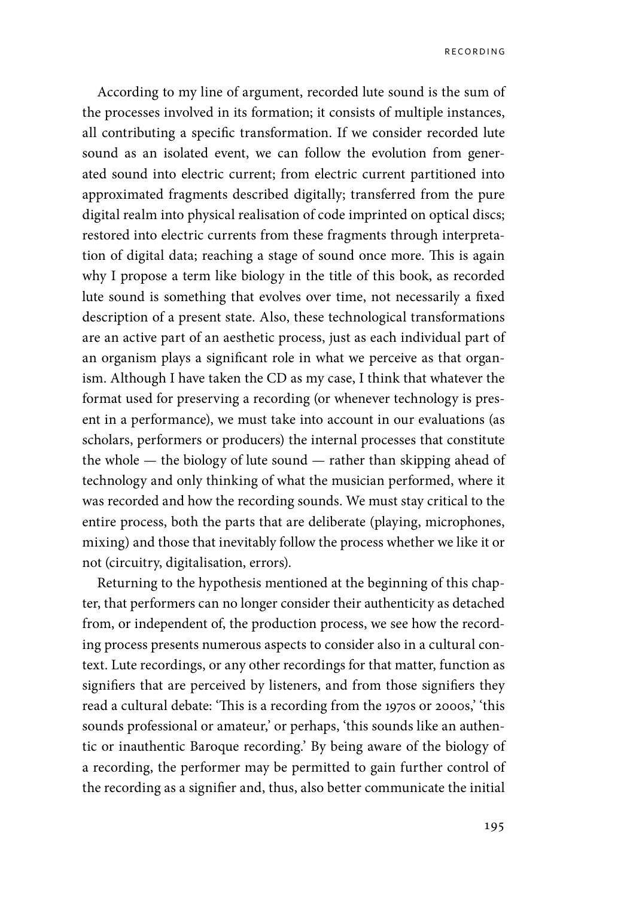According to my line of argument, recorded lute sound is the sum of the processes involved in its formation; it consists of multiple instances, all contributing a specific transformation. If we consider recorded lute sound as an isolated event, we can follow the evolution from generated sound into electric current; from electric current partitioned into approximated fragments described digitally; transferred from the pure digital realm into physical realisation of code imprinted on optical discs; restored into electric currents from these fragments through interpretation of digital data; reaching a stage of sound once more. This is again why I propose a term like biology in the title of this book, as recorded lute sound is something that evolves over time, not necessarily a fixed description of a present state. Also, these technological transformations are an active part of an aesthetic process, just as each individual part of an organism plays a significant role in what we perceive as that organism. Although I have taken the CD as my case, I think that whatever the format used for preserving a recording (or whenever technology is present in a performance), we must take into account in our evaluations (as scholars, performers or producers) the internal processes that constitute the whole — the biology of lute sound — rather than skipping ahead of technology and only thinking of what the musician performed, where it was recorded and how the recording sounds. We must stay critical to the entire process, both the parts that are deliberate (playing, microphones, mixing) and those that inevitably follow the process whether we like it or not (circuitry, digitalisation, errors).

Returning to the hypothesis mentioned at the beginning of this chapter, that performers can no longer consider their authenticity as detached from, or independent of, the production process, we see how the recording process presents numerous aspects to consider also in a cultural context. Lute recordings, or any other recordings for that matter, function as signifiers that are perceived by listeners, and from those signifiers they read a cultural debate: 'This is a recording from the 1970s or 2000s,' 'this sounds professional or amateur,' or perhaps, 'this sounds like an authentic or inauthentic Baroque recording.' By being aware of the biology of a recording, the performer may be permitted to gain further control of the recording as a signifier and, thus, also better communicate the initial